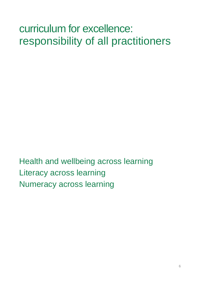# curriculum for excellence: responsibility of all practitioners

Health and wellbeing across learning Literacy across learning Numeracy across learning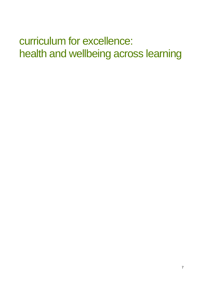# curriculum for excellence: health and wellbeing across learning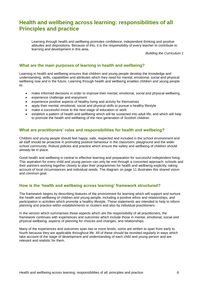# **Health and wellbeing across learning: responsibilities of all Principles and practice**

Learning through health and wellbeing promotes confidence, independent thinking and positive attitudes and dispositions. Because of this, it is the responsibility of every teacher to contribute to learning and development in this area.

*Building the Curriculum 1*

## **What are the main purposes of learning in health and wellbeing?**

Learning in health and wellbeing ensures that children and young people develop the knowledge and understanding, skills, capabilities and attributes which they need for mental, emotional, social and physical wellbeing now and in the future. Learning through health and wellbeing enables children and young people to:

- make informed decisions in order to improve their mental, emotional, social and physical wellbeing
- experience challenge and enjoyment
- experience positive aspects of healthy living and activity for themselves
- apply their mental, emotional, social and physical skills to pursue a healthy lifestyle
- make a successful move to the next stage of education or work
- establish a pattern of health and wellbeing which will be sustained into adult life, and which will help to promote the health and wellbeing of the next generation of Scottish children.

#### **What are practitioners' roles and responsibilities for health and wellbeing?**

Children and young people should feel happy, safe, respected and included in the school environment and all staff should be proactive in promoting positive behaviour in the classroom, playground and the wider school community. Robust policies and practice which ensure the safety and wellbeing of children should already be in place.

Good health and wellbeing is central to effective learning and preparation for successful independent living. This aspiration for every child and young person can only be met through a concerted approach; schools and their partners working together closely to plan their programmes for health and wellbeing explicitly, taking account of local circumstances and individual needs. The diagram on page 11 illustrates this shared vision and common goal.

### **How is the 'health and wellbeing across learning' framework structured?**

The framework begins by describing features of the environment for learning which will support and nurture the health and wellbeing of children and young people, including a positive ethos and relationships, and participation in activities which promote a healthy lifestyle. These statements are intended to help to inform planning and practice within establishments or clusters and also by individual practitioners.

In the version which summarises those aspects which are the responsibility of all practitioners, the framework continues with experiences and outcomes which include those in mental, emotional, social and physical wellbeing, aspects of planning for choices and changes, and relationships.

Many of the experiences and outcomes span two or more levels; some are written to span from early to fourth because they are applicable throughout life. All of these should be revisited regularly in ways which take account of the stage of development and understanding of each child and young person and are relevant and realistic for them.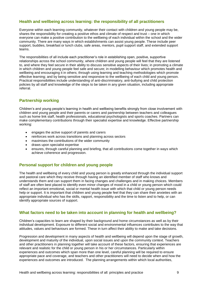## **Health and wellbeing across learning: the responsibility of all practitioners**

Everyone within each learning community, whatever their contact with children and young people may be, shares the responsibility for creating a positive ethos and climate of respect and trust – one in which everyone can make a positive contribution to the wellbeing of each individual within the school and the wider community. There are many ways in which establishments can assist young people. These include peer support, buddies, breakfast or lunch clubs, safe areas, mentors, pupil support staff, and extended support teams.

The responsibilities of all include each practitioner's role in establishing open, positive, supportive relationships across the school community, where children and young people will feel that they are listened to, and where they feel secure in their ability to discuss sensitive aspects of their lives; in promoting a climate in which children and young people feel safe and secure; in modelling behaviour which promotes health and wellbeing and encouraging it in others; through using learning and teaching methodologies which promote effective learning; and by being sensitive and responsive to the wellbeing of each child and young person. Practical responsibilities include understanding of anti-discriminatory, anti-bullying and child protection policies by all staff and knowledge of the steps to be taken in any given situation, including appropriate referral.

# **Partnership working**

Children's and young people's learning in health and wellbeing benefits strongly from close involvement with children and young people and their parents or carers and partnership between teachers and colleagues such as home link staff, health professionals, educational psychologists and sports coaches. Partners can make complementary contributions through their specialist expertise and knowledge. Effective partnership working:

- engages the active support of parents and carers
- reinforces work across transitions and planning across sectors
- maximises the contributions of the wider community
- draws upon specialist expertise
- ensures, through careful planning and briefing, that all contributions come together in ways which achieve coherence and progression.

# **Personal support for children and young people**

The health and wellbeing of every child and young person is greatly enhanced through the individual support and pastoral care which they receive through having an identified member of staff who knows and understands them and can support them in facing changes and challenges and in making choices. Members of staff are often best placed to identify even minor changes of mood in a child or young person which could reflect an important emotional, social or mental health issue with which that child or young person needs help or support. It is important that children and young people feel that they can share their anxieties with an appropriate individual who has the skills, rapport, responsibility and the time to listen and to help, or can identify appropriate sources of support.

# **What factors need to be taken into account in planning for health and wellbeing?**

Children's capacities to learn are shaped by their background and home circumstances as well as by their individual development. Exposure to different social and environmental influences contributes to the way that attitudes, values and behaviours are formed. These in turn affect their ability to make and take decisions.

Progression and development in many aspects of health and wellbeing will depend upon the stage of growth, development and maturity of the individual, upon social issues and upon the community context. Teachers and other practitioners in planning together will take account of these factors, ensuring that experiences are relevant and realistic for the child or young person in his or her circumstances. Particularly within experiences and outcomes which span more than one level, careful planning will be required to ensure appropriate pace and coverage, and teachers and other practitioners will need to decide when and how the experiences and outcomes are introduced. The planning arrangements within which local authorities,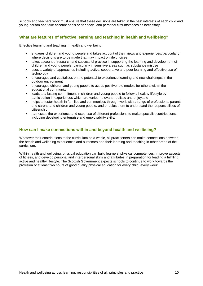schools and teachers work must ensure that these decisions are taken in the best interests of each child and young person and take account of his or her social and personal circumstances as necessary.

# **What are features of effective learning and teaching in health and wellbeing?**

Effective learning and teaching in health and wellbeing:

- engages children and young people and takes account of their views and experiences, particularly where decisions are to be made that may impact on life choices
- takes account of research and successful practice in supporting the learning and development of children and young people, particularly in sensitive areas such as substance misuse
- uses a variety of approaches including active, cooperative and peer learning and effective use of technology
- encourages and capitalises on the potential to experience learning and new challenges in the outdoor environment
- encourages children and young people to act as positive role models for others within the educational community
- leads to a lasting commitment in children and young people to follow a healthy lifestyle by participation in experiences which are varied, relevant, realistic and enjoyable
- helps to foster health in families and communities through work with a range of professions, parents and carers, and children and young people, and enables them to understand the responsibilities of citizenship
- harnesses the experience and expertise of different professions to make specialist contributions, including developing enterprise and employability skills.

# **How can I make connections within and beyond health and wellbeing?**

Whatever their contributions to the curriculum as a whole, all practitioners can make connections between the health and wellbeing experiences and outcomes and their learning and teaching in other areas of the curriculum.

Within health and wellbeing, physical education can build learners' physical competences, improve aspects of fitness, and develop personal and interpersonal skills and attributes in preparation for leading a fulfilling, active and healthy lifestyle. The Scottish Government expects schools to continue to work towards the provision of at least two hours of good quality physical education for every child, every week.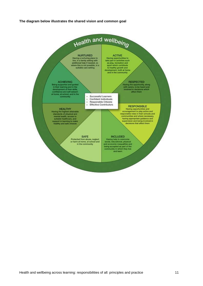#### **The diagram below illustrates the shared vision and common goal**

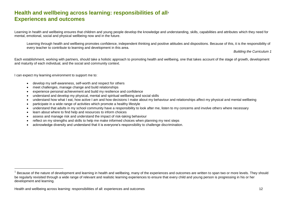# **Health and wellbeing across learning: responsibilities of all<sup>1</sup> Experiences and outcomes**

Learning in health and wellbeing ensures that children and young people develop the knowledge and understanding, skills, capabilities and attributes which they need for mental, emotional, social and physical wellbeing now and in the future.

Learning through health and wellbeing promotes confidence, independent thinking and positive attitudes and dispositions. Because of this, it is the responsibility of every teacher to contribute to learning and development in this area.

*Building the Curriculum 1*

Each establishment, working with partners, should take a holistic approach to promoting health and wellbeing, one that takes account of the stage of growth, development and maturity of each individual, and the social and community context.

I can expect my learning environment to support me to:

- develop my self-awareness, self-worth and respect for others
- meet challenges, manage change and build relationships
- experience personal achievement and build my resilience and confidence
- understand and develop my physical, mental and spiritual wellbeing and social skills
- understand how what I eat, how active I am and how decisions I make about my behaviour and relationships affect my physical and mental wellbeing
- participate in a wide range of activities which promote a healthy lifestyle
- understand that adults in my school community have a responsibility to look after me, listen to my concerns and involve others where necessary
- learn about where to find help and resources to inform choices
- assess and manage risk and understand the impact of risk-taking behaviour
- reflect on my strengths and skills to help me make informed choices when planning my next steps
- acknowledge diversity and understand that it is everyone's responsibility to challenge discrimination.

 $1$  Because of the nature of development and learning in health and wellbeing, many of the experiences and outcomes are written to span two or more levels. They should be regularly revisited through a wide range of relevant and realistic learning experiences to ensure that every child and young person is progressing in his or her development and learning.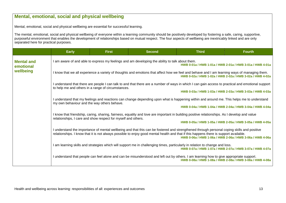# **Mental, emotional, social and physical wellbeing** Mental, emotional, social and physical wellbeing are essential for successful learning. The mental, emotional, social and physical wellbeing of everyone within a learning community should be positively developed by fostering a safe, caring, supportive, purposeful environment that enables the development of relationships based on mutual respect. The four aspects of wellbeing are inextricably linked and are only separated here for practical purposes. **Early First Second Third Fourth Mental and emotional wellbeing** I am aware of and able to express my feelings and am developing the ability to talk about them. **HWB 0-01a / HWB 1-01a / HWB 2-01a / HWB 3-01a / HWB 4-01a** I know that we all experience a variety of thoughts and emotions that affect how we feel and behave and I am learning ways of managing them. **HWB 0-02a / HWB 1-02a / HWB 2-02a / HWB 3-02a / HWB 4-02a** I understand that there are people I can talk to and that there are a number of ways in which I can gain access to practical and emotional support to help me and others in a range of circumstances. **HWB 0-03a / HWB 1-03a / HWB 2-03a / HWB 3-03a / HWB 4-03a**  I understand that my feelings and reactions can change depending upon what is happening within and around me. This helps me to understand my own behaviour and the way others behave. **HWB 0-04a / HWB 1-04a / HWB 2-04a / HWB 3-04a / HWB 4-04a** I know that friendship, caring, sharing, fairness, equality and love are important in building positive relationships. As I develop and value relationships, I care and show respect for myself and others. **HWB 0-05a / HWB 1-05a / HWB 2-05a / HWB 3-05a / HWB 4-05a**  I understand the importance of mental wellbeing and that this can be fostered and strengthened through personal coping skills and positive relationships. I know that it is not always possible to enjoy good mental health and that if this happens there is support available. **HWB 0-06a / HWB 1-06a / HWB 2-06a / HWB 3-06a / HWB 4-06a** I am learning skills and strategies which will support me in challenging times, particularly in relation to change and loss. **HWB 0-07a / HWB 1-07a / HWB 2-07a / HWB 3-07a / HWB 4-07a** I understand that people can feel alone and can be misunderstood and left out by others. I am learning how to give appropriate support. **HWB 0-08a / HWB 1-08a / HWB 2-08a / HWB 3-08a / HWB 4-08a**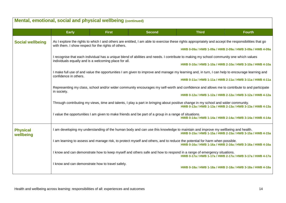|                              | Mental, emotional, social and physical wellbeing (continued)                                                                                                                                    |                                                                                                                                                                                                             |                                                                                                       |                                                                                                                                                                                             |               |  |  |  |
|------------------------------|-------------------------------------------------------------------------------------------------------------------------------------------------------------------------------------------------|-------------------------------------------------------------------------------------------------------------------------------------------------------------------------------------------------------------|-------------------------------------------------------------------------------------------------------|---------------------------------------------------------------------------------------------------------------------------------------------------------------------------------------------|---------------|--|--|--|
|                              | <b>Early</b>                                                                                                                                                                                    | <b>First</b>                                                                                                                                                                                                | <b>Second</b>                                                                                         | <b>Third</b>                                                                                                                                                                                | <b>Fourth</b> |  |  |  |
| <b>Social wellbeing</b>      |                                                                                                                                                                                                 | As I explore the rights to which I and others are entitled, I am able to exercise these rights appropriately and accept the responsibilities that go<br>with them. I show respect for the rights of others. |                                                                                                       |                                                                                                                                                                                             |               |  |  |  |
|                              |                                                                                                                                                                                                 |                                                                                                                                                                                                             |                                                                                                       | HWB 0-09a / HWB 1-09a / HWB 2-09a / HWB 3-09a / HWB 4-09a                                                                                                                                   |               |  |  |  |
|                              | individuals equally and is a welcoming place for all.                                                                                                                                           |                                                                                                                                                                                                             |                                                                                                       | I recognise that each individual has a unique blend of abilities and needs. I contribute to making my school community one which values                                                     |               |  |  |  |
|                              |                                                                                                                                                                                                 |                                                                                                                                                                                                             |                                                                                                       | HWB 0-10a / HWB 1-10a / HWB 2-10a / HWB 3-10a / HWB 4-10a                                                                                                                                   |               |  |  |  |
|                              |                                                                                                                                                                                                 |                                                                                                                                                                                                             |                                                                                                       | I make full use of and value the opportunities I am given to improve and manage my learning and, in turn, I can help to encourage learning and                                              |               |  |  |  |
|                              |                                                                                                                                                                                                 | confidence in others.<br>HWB 0-11a / HWB 1-11a / HWB 2-11a / HWB 3-11a / HWB 4-11a                                                                                                                          |                                                                                                       |                                                                                                                                                                                             |               |  |  |  |
|                              | Representing my class, school and/or wider community encourages my self-worth and confidence and allows me to contribute to and participate                                                     |                                                                                                                                                                                                             |                                                                                                       |                                                                                                                                                                                             |               |  |  |  |
|                              | in society.                                                                                                                                                                                     |                                                                                                                                                                                                             |                                                                                                       | HWB 0-12a / HWB 1-12a / HWB 2-12a / HWB 3-12a / HWB 4-12a                                                                                                                                   |               |  |  |  |
|                              | Through contributing my views, time and talents, I play a part in bringing about positive change in my school and wider community.<br>HWB 0-13a / HWB 1-13a / HWB 2-13a / HWB 3-13a / HWB 4-13a |                                                                                                                                                                                                             |                                                                                                       |                                                                                                                                                                                             |               |  |  |  |
|                              |                                                                                                                                                                                                 |                                                                                                                                                                                                             | I value the opportunities I am given to make friends and be part of a group in a range of situations. | HWB 0-14a / HWB 1-14a / HWB 2-14a / HWB 3-14a / HWB 4-14a                                                                                                                                   |               |  |  |  |
| <b>Physical</b><br>wellbeing |                                                                                                                                                                                                 |                                                                                                                                                                                                             |                                                                                                       | I am developing my understanding of the human body and can use this knowledge to maintain and improve my wellbeing and health.<br>HWB 0-15a / HWB 1-15a / HWB 2-15a / HWB 3-15a / HWB 4-15a |               |  |  |  |
|                              | I am learning to assess and manage risk, to protect myself and others, and to reduce the potential for harm when possible.<br>HWB 0-16a / HWB 1-16a / HWB 2-16a / HWB 3-16a / HWB 4-16a         |                                                                                                                                                                                                             |                                                                                                       |                                                                                                                                                                                             |               |  |  |  |
|                              |                                                                                                                                                                                                 |                                                                                                                                                                                                             |                                                                                                       | I know and can demonstrate how to keep myself and others safe and how to respond in a range of emergency situations.<br>HWB 0-17a / HWB 1-17a / HWB 2-17a / HWB 3-17a / HWB 4-17a           |               |  |  |  |
|                              | I know and can demonstrate how to travel safely.                                                                                                                                                |                                                                                                                                                                                                             |                                                                                                       | HWB 0-18a / HWB 1-18a / HWB 2-18a / HWB 3-18a / HWB 4-18a                                                                                                                                   |               |  |  |  |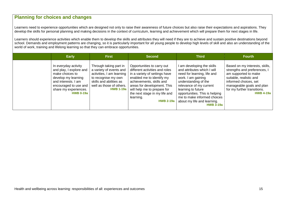# **Planning for choices and changes**

Learners need to experience opportunities which are designed not only to raise their awareness of future choices but also raise their expectations and aspirations. They develop the skills for personal planning and making decisions in the context of curriculum, learning and achievement which will prepare them for next stages in life.

Learners should experience activities which enable them to develop the skills and attributes they will need if they are to achieve and sustain positive destinations beyond school. Demands and employment patterns are changing, so it is particularly important for all young people to develop high levels of skill and also an understanding of the world of work, training and lifelong learning so that they can embrace opportunities.

| <b>Early</b>                                                                                                                                                                           | <b>First</b>                                                                                                                                                                     | <b>Second</b>                                                                                                                                                                                                                                                                          | <b>Third</b>                                                                                                                                                                                                                                                                                                | <b>Fourth</b>                                                                                                                                                                                                              |
|----------------------------------------------------------------------------------------------------------------------------------------------------------------------------------------|----------------------------------------------------------------------------------------------------------------------------------------------------------------------------------|----------------------------------------------------------------------------------------------------------------------------------------------------------------------------------------------------------------------------------------------------------------------------------------|-------------------------------------------------------------------------------------------------------------------------------------------------------------------------------------------------------------------------------------------------------------------------------------------------------------|----------------------------------------------------------------------------------------------------------------------------------------------------------------------------------------------------------------------------|
| In everyday activity<br>and play, I explore and<br>make choices to<br>develop my learning<br>and interests. I am<br>encouraged to use and<br>share my experiences.<br><b>HWB 0-19a</b> | Through taking part in<br>a variety of events and<br>activities, I am learning<br>to recognise my own<br>skills and abilities as<br>well as those of others.<br><b>HWB 1-19a</b> | Opportunities to carry out<br>different activities and roles<br>in a variety of settings have<br>enabled me to identify my<br>achievements, skills and<br>areas for development. This<br>will help me to prepare for<br>the next stage in my life and<br>learning.<br><b>HWB 2-19a</b> | I am developing the skills<br>and attributes which I will<br>need for learning, life and<br>work. I am gaining<br>understanding of the<br>relevance of my current<br>learning to future<br>opportunities. This is helping<br>me to make informed choices<br>about my life and learning.<br><b>HWB 3-19a</b> | Based on my interests, skills,<br>strengths and preferences, I<br>am supported to make<br>suitable, realistic and<br>informed choices, set<br>manageable goals and plan<br>for my further transitions.<br><b>HWB 4-19a</b> |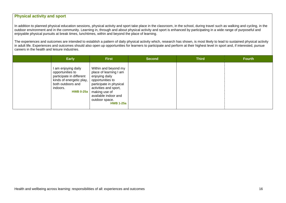# **Physical activity and sport**

In addition to planned physical education sessions, physical activity and sport take place in the classroom, in the school, during travel such as walking and cycling, in the outdoor environment and in the community. Learning in, through and about physical activity and sport is enhanced by participating in a wide range of purposeful and enjoyable physical pursuits at break times, lunchtimes, within and beyond the place of learning.

The experiences and outcomes are intended to establish a pattern of daily physical activity which, research has shown, is most likely to lead to sustained physical activity in adult life. Experiences and outcomes should also open up opportunities for learners to participate and perform at their highest level in sport and, if interested, pursue careers in the health and leisure industries.

| <b>Early</b>                                                                                                                                       | <b>First</b>                                                                                                                                                                                                            | <b>Second</b> | <b>Third</b> | <b>Fourth</b> |
|----------------------------------------------------------------------------------------------------------------------------------------------------|-------------------------------------------------------------------------------------------------------------------------------------------------------------------------------------------------------------------------|---------------|--------------|---------------|
| am enjoying daily<br>opportunities to<br>participate in different<br>kinds of energetic play,<br>both outdoors and<br>indoors.<br><b>HWB 0-25a</b> | Within and beyond my<br>place of learning I am<br>enjoying daily<br>opportunities to<br>participate in physical<br>activities and sport,<br>making use of<br>available indoor and<br>outdoor space.<br><b>HWB 1-25a</b> |               |              |               |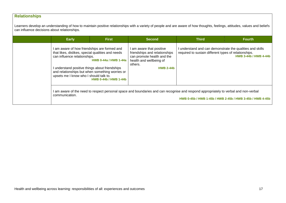# **Relationships**

Learners develop an understanding of how to maintain positive relationships with a variety of people and are aware of how thoughts, feelings, attitudes, values and beliefs can influence decisions about relationships.

| <b>Early</b>                                                                                                                                                                                                                  | <b>First</b>                                                                                                    | <b>Second</b>                                                                                                                                   | <b>Third</b>                                                                                                                         | <b>Fourth</b>                                             |
|-------------------------------------------------------------------------------------------------------------------------------------------------------------------------------------------------------------------------------|-----------------------------------------------------------------------------------------------------------------|-------------------------------------------------------------------------------------------------------------------------------------------------|--------------------------------------------------------------------------------------------------------------------------------------|-----------------------------------------------------------|
| I am aware of how friendships are formed and<br>that likes, dislikes, special qualities and needs<br>can influence relationships.<br>I understand positive things about friendships<br>upsets me I know who I should talk to. | <b>HWB 0-44a / HWB 1-44a</b><br>and relationships but when something worries or<br><b>HWB 0-44b / HWB 1-44b</b> | am aware that positive<br>friendships and relationships<br>can promote health and the<br>health and wellbeing of<br>others.<br><b>HWB 2-44b</b> | I understand and can demonstrate the qualities and skills<br>required to sustain different types of relationships.                   | <b>HWB 3-44b / HWB 4-44b</b>                              |
| communication.                                                                                                                                                                                                                |                                                                                                                 |                                                                                                                                                 | I am aware of the need to respect personal space and boundaries and can recognise and respond appropriately to verbal and non-verbal | HWB 0-45b / HWB 1-45b / HWB 2-45b / HWB 3-45b / HWB 4-45b |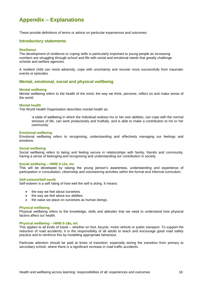# **Appendix – Explanations**

These provide definitions of terms or advice on particular experiences and outcomes.

#### **Introductory statements**

#### **Resilience**

The development of resilience or coping skills is particularly important to young people as increasing numbers are struggling through school and life with social and emotional needs that greatly challenge schools and welfare agencies.

A resilient child can resist adversity, cope with uncertainty and recover more successfully from traumatic events or episodes.

#### **Mental, emotional, social and physical wellbeing**

#### **Mental wellbeing**

Mental wellbeing refers to the health of the mind, the way we think, perceive, reflect on and make sense of the world.

#### **Mental health**

The World Health Organisation describes mental health as:

'a state of wellbeing in which the individual realises his or her own abilities, can cope with the normal stresses of life, can work productively and fruitfully, and is able to make a contribution to his or her community.'

#### **Emotional wellbeing**

Emotional wellbeing refers to recognising, understanding and effectively managing our feelings and emotions.

#### **Social wellbeing**

Social wellbeing refers to being and feeling secure in relationships with family, friends and community, having a sense of belonging and recognising and understanding our contribution in society.

#### **Social wellbeing – HWB 0-12a, etc**

This will be developed by raising the young person's awareness, understanding and experience of participation in consultation, citizenship and volunteering activities within the formal and informal curriculum.

#### **Self-esteem/Self worth**

Self-esteem is a self rating of how well the self is doing. It means:

- the way we feel about ourselves
- the way we feel about our abilities
- the value we place on ourselves as human beings.

#### **Physical wellbeing**

Physical wellbeing refers to the knowledge, skills and attitudes that we need to understand how physical factors affect our health.

#### **Physical wellbeing – HWB 0-18a, etc**

This applies to all kinds of travel – whether on foot, bicycle, motor vehicle or public transport. To support the reduction of road accidents, it is the responsibility of all adults to teach and encourage good road safety practice and to reinforce this by modelling appropriate behaviour.

Particular attention should be paid at times of transition, especially during the transition from primary to secondary school, where there is a significant increase in road traffic accidents.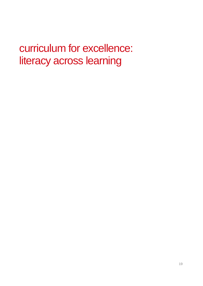# curriculum for excellence: literacy across learning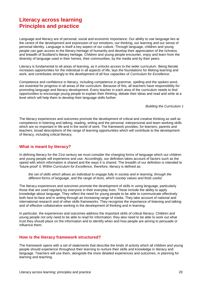# **Literacy across learning Principles and practice**

Language and literacy are of personal, social and economic importance. Our ability to use language lies at the centre of the development and expression of our emotions, our thinking, our learning and our sense of personal identity. Language is itself a key aspect of our culture. Through language, children and young people can gain access to the literary heritage of humanity and develop their appreciation of the richness and breadth of Scotland's literary heritage. Children and young people encounter, enjoy and learn from the diversity of language used in their homes, their communities, by the media and by their peers.

Literacy is fundamental to all areas of learning, as it unlocks access to the wider curriculum. Being literate increases opportunities for the individual in all aspects of life, lays the foundations for lifelong learning and work, and contributes strongly to the development of all four capacities of *Curriculum for Excellence*.

Competence and confidence in literacy, including competence in grammar, spelling and the spoken word, are essential for progress in all areas of the curriculum. Because of this, all teachers have responsibility for promoting language and literacy development. Every teacher in each area of the curriculum needs to find opportunities to encourage young people to explain their thinking, debate their ideas and read and write at a level which will help them to develop their language skills further.

*Building the Curriculum 1*

The literacy experiences and outcomes promote the development of critical and creative thinking as well as competence in listening and talking, reading, writing and the personal, interpersonal and team-working skills which are so important in life and in the world of work. The framework provides, for learners, parents and teachers, broad descriptions of the range of learning opportunities which will contribute to the development of literacy, including critical literacy.

### **What is meant by literacy?**

In defining literacy for the 21st century we must consider the changing forms of language which our children and young people will experience and use. Accordingly, our definition takes account of factors such as the speed with which information is shared and the ways it is shared. The breadth of our definition is intended to 'future proof' it. Within *Curriculum for Excellence*, therefore, literacy is defined as:

*the set of skills which allows an individual to engage fully in society and in learning, through the different forms of language, and the range of texts, which society values and finds useful.* 

The literacy experiences and outcomes promote the development of skills in using language, particularly those that are used regularly by everyone in their everyday lives. These include the ability to apply knowledge about language. They reflect the need for young people to be able to communicate effectively both face-to-face and in writing through an increasing range of media. They take account of national and international research and of other skills frameworks. They recognise the importance of listening and talking and of effective collaborative working in the development of thinking and in learning.

In particular, the experiences and outcomes address the important skills of critical literacy. Children and young people not only need to be able to read for information: they also need to be able to work out what trust they should place on the information and to identify when and how people are aiming to persuade or influence them.

#### **How is the literacy framework structured?**

The framework opens with a set of statements that describe the kinds of activity which all children and young people should experience throughout their learning to nurture their skills and knowledge in literacy and language. Teachers will use them, alongside the more detailed experiences and outcomes, in planning for learning and teaching.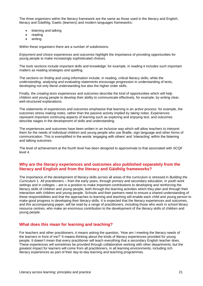The three organisers within the literacy framework are the same as those used in the literacy and English, literacy and Gàidhlig, Gaelic (learners) and modern languages frameworks:

- listening and talking
- reading
- writing.

Within these organisers there are a number of subdivisions.

*Enjoyment and choice* experiences and outcomes highlight the importance of providing opportunities for young people to make increasingly sophisticated choices.

The *tools* sections include important skills and knowledge: for example, in reading it includes such important matters as reading strategies and spelling.

The sections on *finding and using information* include, in reading, critical literacy skills; while the *understanding, analysing and evaluating* statements encourage progression in understanding of texts, developing not only literal understanding but also the higher order skills.

Finally, the *creating texts* experiences and outcomes describe the kind of opportunities which will help children and young people to develop their ability to communicate effectively, for example, by writing clear, well-structured explanations.

The statements of experiences and outcomes emphasise that learning is an *active* process: for example, the outcomes stress *making* notes, rather than the passive activity implied by *taking* notes. Experiences represent important continuing aspects of learning such as exploring and enjoying text, and outcomes describe stages in the development of skills and understanding.

The experiences and outcomes have been written in an inclusive way which will allow teachers to interpret them for the needs of individual children and young people who use Braille, sign language and other forms of communication. This is exemplified in the words 'engaging with others' and 'interacting' within the listening and talking outcomes.

The level of achievement at the fourth level has been designed to approximate to that associated with SCQF level 4.

## **Why are the literacy experiences and outcomes also published separately from the literacy and English and from the literacy and Gàidhlig frameworks?**

The importance of the development of literacy skills across all areas of the curriculum is stressed in *Building the Curriculum 1.* All practitioners – from the early years, through primary and secondary education, in youth work settings and in colleges – are in a position to make important contributions to developing and reinforcing the literacy skills of children and young people, both through the learning activities which they plan and through their interaction with children and young people. Schools and their partners need to ensure a shared understanding of these responsibilities and that the approaches to learning and teaching will enable each child and young person to make good progress in developing their literacy skills. It is expected that the literacy experiences and outcomes, and this accompanying paper, will be read by a range of practitioners, including those who work in school library resource centres, who make an enormous contribution to the development of the literacy skills of children and young people.

# **What does this mean for learning and teaching?**

For teachers and other practitioners, it means asking the question, 'How am I meeting the literacy needs of the learners in front of me?' It means thinking about the kinds of literacy experiences provided for young people. It doesn't mean that every practitioner will teach everything that a secondary English teacher does. These experiences will sometimes be provided through collaborative working with other departments; but the greatest impact for learners will come from all practitioners, in all learning environments, including rich literacy experiences as part of their day-to-day learning and teaching programmes.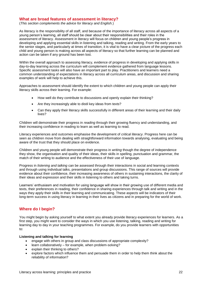### **What are broad features of assessment in literacy?**

(*This section complements the advice for literacy and English.*)

As literacy is the responsibility of all staff, and because of the importance of literacy across all aspects of a young person's learning, all staff should be clear about their responsibilities and their roles in the assessment of literacy. Assessment in literacy will focus on children and young people's progress in developing and applying essential skills in listening and talking, reading and writing. From the early years to the senior stages, and particularly at times of transition, it is vital to have a clear picture of the progress each child and young person is making across all aspects of literacy so that further learning can be planned and action can be taken if any ground has been lost.

Within the overall approach to assessing literacy, evidence of progress in developing and applying skills in day-to-day learning across the curriculum will complement evidence gathered from language lessons. Specific assessment tasks will also have an important part to play. Practitioners and learners need a common understanding of expectations in literacy across all curriculum areas, and discussion and sharing examples of work will help to achieve this.

Approaches to assessment should identify the extent to which children and young people can apply their literacy skills across their learning. For example:

- How well do they contribute to discussions and openly explain their thinking?
- Are they increasingly able to distil key ideas from texts?
- Can they apply their literacy skills successfully in different areas of their learning and their daily lives?

Children will demonstrate their progress in *reading* through their growing fluency and understanding, and their increasing confidence in reading to learn as well as learning to read.

Literacy experiences and outcomes emphasise the development of *critical literacy*. Progress here can be seen as children move from dealing with straightforward information towards analysing, evaluating and being aware of the trust that they should place on evidence.

Children and young people will demonstrate their progress in *writing* though the degree of independence they show, the organisation and quality of their ideas, their skills in spelling, punctuation and grammar, the match of their writing to audience and the effectiveness of their use of language.

Progress in *listening and talking* can be assessed through their interactions in social and learning contexts and through using individual talks, presentations and group discussions. This range of sources will provide evidence about their confidence, their increasing awareness of others in sustaining interactions, the clarity of their ideas and expression and their skills in listening to others and taking turns.

Learners' enthusiasm and motivation for using language will show in their growing use of different media and texts, their preferences in reading, their confidence in sharing experiences through talk and writing and in the ways they apply their skills in their learning and communicating. These aspects will be indicators of their long-term success in using literacy in learning in their lives as citizens and in preparing for the world of work.

### **Where do I begin?**

You might begin by asking yourself to what extent you already provide literacy experiences for learners. As a first step, you might want to consider the ways in which you use listening, talking, reading and writing for learning day to day in your teaching programmes. For example, do you provide learners with opportunities to:

#### **Listening and talking for learning**

- engage with others in group and class discussions of appropriate complexity?
- $\bullet$  learn collaboratively for example, when problem-solving?
- explain their thinking to others?
- explore factors which influence them and persuade them in order to help them think about the reliability of information?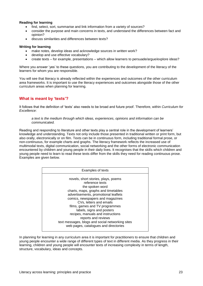#### **Reading for learning**

- find, select, sort, summarise and link information from a variety of sources?
- consider the purpose and main concerns in texts, and understand the differences between fact and opinion?
- discuss similarities and differences between texts?

#### **Writing for learning**

- make notes, develop ideas and acknowledge sources in written work?
- develop and use effective vocabulary?
- create texts for example, presentations which allow learners to persuade/argue/explore ideas?

Where you answer 'yes' to these questions, you are contributing to the development of the literacy of the learners for whom you are responsible.

You will see that literacy is already reflected within the experiences and outcomes of the other curriculum area frameworks. It is important to use the literacy experiences and outcomes alongside those of the other curriculum areas when planning for learning.

# **What is meant by 'texts'?**

It follows that the definition of 'texts' also needs to be broad and future proof. Therefore, within *Curriculum for Excellence*:

#### *a text is the medium through which ideas, experiences, opinions and information can be communicated.*

Reading and responding to literature and other texts play a central role in the development of learners' knowledge and understanding. Texts not only include those presented in traditional written or print form, but also orally, electronically or on film. Texts can be in continuous form, including traditional formal prose, or non-continuous, for example charts and graphs. The literacy framework reflects the increased use of multimodal texts, digital communication, social networking and the other forms of electronic communication encountered by children and young people in their daily lives. It recognises that the skills which children and young people need to learn to read these texts differ from the skills they need for reading continuous prose. Examples are given below.

| Examples of texts                                                                                                                                                                                                                                                                      |  |  |  |  |  |  |  |
|----------------------------------------------------------------------------------------------------------------------------------------------------------------------------------------------------------------------------------------------------------------------------------------|--|--|--|--|--|--|--|
| novels, short stories, plays, poems<br>reference texts<br>the spoken word<br>charts, maps, graphs and timetables<br>advertisements, promotional leaflets<br>comics, newspapers and magazines<br>CVs, letters and emails<br>films, games and TV programmes<br>labels, signs and posters |  |  |  |  |  |  |  |
| recipes, manuals and instructions<br>reports and reviews                                                                                                                                                                                                                               |  |  |  |  |  |  |  |
| text messages, blogs and social networking sites<br>web pages, catalogues and directories                                                                                                                                                                                              |  |  |  |  |  |  |  |

In planning for learning in any curriculum area it is important for practitioners to ensure that children and young people encounter a wide range of different types of text in different media. As they progress in their learning, children and young people will encounter texts of increasing complexity in terms of length, structure, vocabulary, ideas and concepts.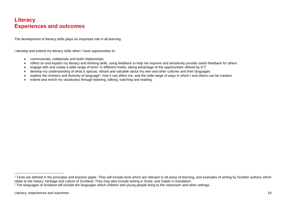# **Literacy Experiences and outcomes**

The development of literacy skills plays an important role in all learning.

I develop and extend my literacy skills when I have opportunities to:

- communicate, collaborate and build relationships
- reflect on and explain my literacy and thinking skills, using feedback to help me improve and sensitively provide useful feedback for others
- engage with and create a wide range of texts<sup>1</sup> in different media, taking advantage of the opportunities offered by ICT
- develop my understanding of what is special, vibrant and valuable about my own and other cultures and their languages
- explore the richness and diversity of language<sup>2</sup>, how it can affect me, and the wide range of ways in which I and others can be creative
- extend and enrich my vocabulary through listening, talking, watching and reading.

<sup>&</sup>lt;sup>1</sup> Texts are defined in the principles and practice paper. They will include texts which are relevant to all areas of learning, and examples of writing by Scottish authors which relate to the history, heritage and culture of Scotland. They may also include writing in Scots, and Gaelic in translation.

<sup>&</sup>lt;sup>2</sup> The languages of Scotland will include the languages which children and young people bring to the classroom and other settings.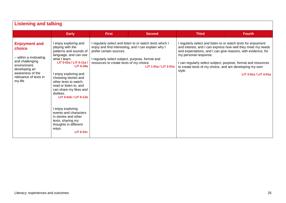| <b>Listening and talking</b>                                                                                                                                        |                                                                                                                                                                                                                                                                                                                                                                                                                                                                                   |                                                                                                                       |                                                                                                                                         |                                                                                                                                                                                                                                                                                             |                                                                                      |
|---------------------------------------------------------------------------------------------------------------------------------------------------------------------|-----------------------------------------------------------------------------------------------------------------------------------------------------------------------------------------------------------------------------------------------------------------------------------------------------------------------------------------------------------------------------------------------------------------------------------------------------------------------------------|-----------------------------------------------------------------------------------------------------------------------|-----------------------------------------------------------------------------------------------------------------------------------------|---------------------------------------------------------------------------------------------------------------------------------------------------------------------------------------------------------------------------------------------------------------------------------------------|--------------------------------------------------------------------------------------|
|                                                                                                                                                                     | <b>Early</b>                                                                                                                                                                                                                                                                                                                                                                                                                                                                      | <b>First</b>                                                                                                          | <b>Second</b>                                                                                                                           | <b>Third</b>                                                                                                                                                                                                                                                                                | <b>Fourth</b>                                                                        |
| <b>Enjoyment and</b><br>choice<br>- within a motivating<br>and challenging<br>environment.<br>developing an<br>awareness of the<br>relevance of texts in<br>my life | I enjoy exploring and<br>playing with the<br>patterns and sounds of<br>language, and can use<br>what I learn.<br>LIT 0-01a / LIT 0-11a /<br><b>LIT 0-20a</b><br>I enjoy exploring and<br>choosing stories and<br>other texts to watch,<br>read or listen to, and<br>can share my likes and<br>dislikes.<br>LIT 0-01b / LIT 0-11b<br>I enjoy exploring<br>events and characters<br>in stories and other<br>texts, sharing my<br>thoughts in different<br>ways.<br><b>LIT 0-01c</b> | prefer certain sources.<br>I regularly select subject, purpose, format and<br>resources to create texts of my choice. | I regularly select and listen to or watch texts which I<br>enjoy and find interesting, and I can explain why I<br>LIT 1-01a / LIT 2-01a | I regularly select and listen to or watch texts for enjoyment<br>and expectations, and I can give reasons, with evidence, for<br>my personal response.<br>I can regularly select subject, purpose, format and resources<br>to create texts of my choice, and am developing my own<br>style. | and interest, and I can express how well they meet my needs<br>LIT 3-01a / LIT 4-01a |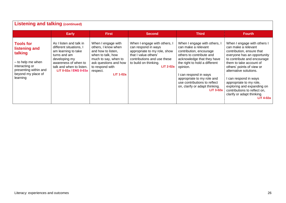| <b>Listening and talking (continued)</b>                                                                                                       |                                                                                                                                                                                         |                                                                                                                                                                                          |                                                                                                                                                                                         |                                                                                                                                                                                                                                                                                                                             |                                                                                                                                                                                                                                                                                                                                                                                                     |  |  |
|------------------------------------------------------------------------------------------------------------------------------------------------|-----------------------------------------------------------------------------------------------------------------------------------------------------------------------------------------|------------------------------------------------------------------------------------------------------------------------------------------------------------------------------------------|-----------------------------------------------------------------------------------------------------------------------------------------------------------------------------------------|-----------------------------------------------------------------------------------------------------------------------------------------------------------------------------------------------------------------------------------------------------------------------------------------------------------------------------|-----------------------------------------------------------------------------------------------------------------------------------------------------------------------------------------------------------------------------------------------------------------------------------------------------------------------------------------------------------------------------------------------------|--|--|
|                                                                                                                                                | <b>Early</b>                                                                                                                                                                            | <b>First</b>                                                                                                                                                                             | <b>Second</b>                                                                                                                                                                           | <b>Third</b>                                                                                                                                                                                                                                                                                                                | <b>Fourth</b>                                                                                                                                                                                                                                                                                                                                                                                       |  |  |
| <b>Tools for</b><br>listening and<br>talking<br>- to help me when<br>interacting or<br>presenting within and<br>beyond my place of<br>learning | As I listen and talk in<br>different situations, I<br>am learning to take<br>turns and am<br>developing my<br>awareness of when to<br>talk and when to listen.<br>LIT 0-02a / ENG 0-03a | When I engage with<br>others, I know when<br>and how to listen,<br>when to talk, how<br>much to say, when to<br>ask questions and how<br>to respond with<br>respect.<br><b>LIT 1-02a</b> | When I engage with others, I<br>can respond in ways<br>appropriate to my role, show<br>that I value others'<br>contributions and use these<br>to build on thinking.<br><b>LIT 2-02a</b> | When I engage with others, I<br>can make a relevant<br>contribution, encourage<br>others to contribute and<br>acknowledge that they have<br>the right to hold a different<br>opinion.<br>can respond in ways<br>appropriate to my role and<br>use contributions to reflect<br>on, clarify or adapt thinking.<br>$LIT 3-02a$ | When I engage with others I<br>can make a relevant<br>contribution, ensure that<br>everyone has an opportunity<br>to contribute and encourage<br>them to take account of<br>others' points of view or<br>alternative solutions.<br>I can respond in ways<br>appropriate to my role,<br>exploring and expanding on<br>contributions to reflect on,<br>clarify or adapt thinking.<br><b>LIT 4-02a</b> |  |  |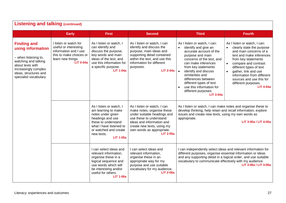| <b>Listening and talking (continued)</b>                                                                                                                                              |                                                                                                                                             |                                                                                                                                                                                                      |                                                                                                                                                                                                                                 |                                                                                                                                                                                                                                                                                                                                                                  |                                                                                                                                                                                                                                                                                                                        |  |
|---------------------------------------------------------------------------------------------------------------------------------------------------------------------------------------|---------------------------------------------------------------------------------------------------------------------------------------------|------------------------------------------------------------------------------------------------------------------------------------------------------------------------------------------------------|---------------------------------------------------------------------------------------------------------------------------------------------------------------------------------------------------------------------------------|------------------------------------------------------------------------------------------------------------------------------------------------------------------------------------------------------------------------------------------------------------------------------------------------------------------------------------------------------------------|------------------------------------------------------------------------------------------------------------------------------------------------------------------------------------------------------------------------------------------------------------------------------------------------------------------------|--|
|                                                                                                                                                                                       | <b>Early</b>                                                                                                                                | <b>First</b>                                                                                                                                                                                         | <b>Second</b>                                                                                                                                                                                                                   | <b>Third</b>                                                                                                                                                                                                                                                                                                                                                     | <b>Fourth</b>                                                                                                                                                                                                                                                                                                          |  |
| <b>Finding and</b><br>using information<br>- when listening to,<br>watching and talking<br>about texts with<br>increasingly complex<br>ideas, structures and<br>specialist vocabulary | I listen or watch for<br>useful or interesting<br>information and I use<br>this to make choices or<br>learn new things.<br><b>LIT 0-04a</b> | As I listen or watch, I<br>can identify and<br>discuss the purpose,<br>key words and main<br>ideas of the text, and<br>use this information for<br>a specific purpose.<br><b>LIT 1-04a</b>           | As I listen or watch, I can<br>identify and discuss the<br>purpose, main ideas and<br>supporting detail contained<br>within the text, and use this<br>information for different<br>purposes.<br><b>LIT 2-04a</b>                | As I listen or watch, I can:<br>identify and give an<br>$\bullet$<br>accurate account of the<br>purpose and main<br>concerns of the text, and<br>can make inferences<br>from key statements<br>identify and discuss<br>similarities and<br>differences between<br>different types of text<br>use this information for<br>different purposes.<br><b>LIT 3-04a</b> | As I listen or watch, I can:<br>clearly state the purpose<br>and main concerns of a<br>text and make inferences<br>from key statements<br>compare and contrast<br>different types of text<br>gather, link and use<br>information from different<br>sources and use this for<br>different purposes.<br><b>LIT 4-04a</b> |  |
|                                                                                                                                                                                       |                                                                                                                                             | As I listen or watch, I<br>am learning to make<br>notes under given<br>headings and use<br>these to understand<br>what I have listened to<br>or watched and create<br>new texts.<br><b>LIT 1-05a</b> | As I listen or watch, I can<br>make notes, organise these<br>under suitable headings and<br>use these to understand<br>ideas and information and<br>create new texts, using my<br>own words as appropriate.<br><b>LIT 2-05a</b> | As I listen or watch, I can make notes and organise these to<br>develop thinking, help retain and recall information, explore<br>issues and create new texts, using my own words as<br>appropriate.                                                                                                                                                              | LIT 3-05a / LIT 4-05a                                                                                                                                                                                                                                                                                                  |  |
|                                                                                                                                                                                       |                                                                                                                                             | I can select ideas and<br>relevant information,<br>organise these in a<br>logical sequence and<br>use words which will<br>be interesting and/or<br>useful for others.<br><b>LIT 1-06a</b>            | I can select ideas and<br>relevant information,<br>organise these in an<br>appropriate way for my<br>purpose and use suitable<br>vocabulary for my audience.<br><b>LIT 2-06a</b>                                                | I can independently select ideas and relevant information for<br>different purposes, organise essential information or ideas<br>and any supporting detail in a logical order, and use suitable<br>vocabulary to communicate effectively with my audience.<br>LIT 3-06a / LIT 4-06a                                                                               |                                                                                                                                                                                                                                                                                                                        |  |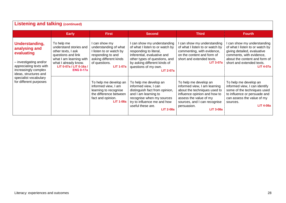| <b>Listening and talking (continued)</b>                                                                                                                                                               |                                                                                                                                                                                    |                                                                                                                                                       |                                                                                                                                                                                                                                      |                                                                                                                                                                                                                    |                                                                                                                                                                                                           |  |
|--------------------------------------------------------------------------------------------------------------------------------------------------------------------------------------------------------|------------------------------------------------------------------------------------------------------------------------------------------------------------------------------------|-------------------------------------------------------------------------------------------------------------------------------------------------------|--------------------------------------------------------------------------------------------------------------------------------------------------------------------------------------------------------------------------------------|--------------------------------------------------------------------------------------------------------------------------------------------------------------------------------------------------------------------|-----------------------------------------------------------------------------------------------------------------------------------------------------------------------------------------------------------|--|
|                                                                                                                                                                                                        | <b>Early</b>                                                                                                                                                                       | <b>First</b>                                                                                                                                          | <b>Second</b>                                                                                                                                                                                                                        | <b>Third</b>                                                                                                                                                                                                       | <b>Fourth</b>                                                                                                                                                                                             |  |
| Understanding,<br>analysing and<br>evaluating<br>- investigating and/or<br>appreciating texts with<br>increasingly complex<br>ideas, structures and<br>specialist vocabulary<br>for different purposes | To help me<br>understand stories and<br>other texts, I ask<br>questions and link<br>what I am learning with<br>what I already know.<br>LIT 0-07a / LIT 0-16a /<br><b>ENG 0-17a</b> | l can show my<br>understanding of what<br>I listen to or watch by<br>responding to and<br>asking different kinds<br>of questions.<br><b>LIT 1-07a</b> | I can show my understanding<br>of what I listen to or watch by<br>responding to literal,<br>inferential, evaluative and<br>other types of questions, and<br>by asking different kinds of<br>questions of my own.<br><b>LIT 2-07a</b> | can show my understanding<br>of what I listen to or watch by<br>commenting, with evidence,<br>on the content and form of<br>short and extended texts.<br><b>LIT 3-07a</b>                                          | can show my understanding<br>of what I listen to or watch by<br>giving detailed, evaluative<br>comments, with evidence,<br>about the content and form of<br>short and extended texts.<br><b>LIT 4-07a</b> |  |
|                                                                                                                                                                                                        |                                                                                                                                                                                    | To help me develop an<br>informed view, I am<br>learning to recognise<br>the difference between<br>fact and opinion.<br><b>LIT 1-08a</b>              | To help me develop an<br>informed view, I can<br>distinguish fact from opinion,<br>and I am learning to<br>recognise when my sources<br>try to influence me and how<br>useful these are.<br><b>LIT 2-08a</b>                         | To help me develop an<br>informed view, I am learning<br>about the techniques used to<br>influence opinion and how to<br>assess the value of my<br>sources, and I can recognise<br>persuasion.<br><b>LIT 3-08a</b> | To help me develop an<br>informed view, I can identify<br>some of the techniques used<br>to influence or persuade and<br>can assess the value of my<br>sources.<br><b>LIT 4-08a</b>                       |  |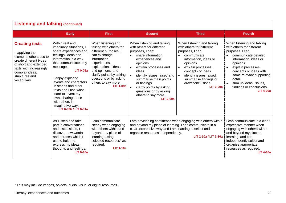| <b>Listening and talking (continued)</b>                                                                                                                                                          |                                                                                                                                                                                                                                                                                                                                                                                      |                                                                                                                                                                                                                                                                     |                                                                                                                                                                                                                                                                                                                                                                                  |                                                                                                                                                                                                                                                                                                                |                                                                                                                                                                                                                                                                                                         |  |
|---------------------------------------------------------------------------------------------------------------------------------------------------------------------------------------------------|--------------------------------------------------------------------------------------------------------------------------------------------------------------------------------------------------------------------------------------------------------------------------------------------------------------------------------------------------------------------------------------|---------------------------------------------------------------------------------------------------------------------------------------------------------------------------------------------------------------------------------------------------------------------|----------------------------------------------------------------------------------------------------------------------------------------------------------------------------------------------------------------------------------------------------------------------------------------------------------------------------------------------------------------------------------|----------------------------------------------------------------------------------------------------------------------------------------------------------------------------------------------------------------------------------------------------------------------------------------------------------------|---------------------------------------------------------------------------------------------------------------------------------------------------------------------------------------------------------------------------------------------------------------------------------------------------------|--|
|                                                                                                                                                                                                   | <b>Early</b>                                                                                                                                                                                                                                                                                                                                                                         | <b>First</b>                                                                                                                                                                                                                                                        | <b>Second</b>                                                                                                                                                                                                                                                                                                                                                                    | <b>Third</b>                                                                                                                                                                                                                                                                                                   | <b>Fourth</b>                                                                                                                                                                                                                                                                                           |  |
| <b>Creating texts</b><br>- applying the<br>elements others use to<br>create different types<br>of short and extended<br>texts with increasingly<br>complex ideas,<br>structures and<br>vocabulary | Within real and<br>imaginary situations, I<br>share experiences and<br>feelings, ideas and<br>information in a way<br>that communicates my<br>message.<br><b>LIT 0-09a</b><br>enjoy exploring<br>events and characters<br>in stories and other<br>texts and I use what I<br>learn to invent my<br>own, sharing these<br>with others in<br>imaginative ways.<br>LIT 0-09b / LIT 0-31a | When listening and<br>talking with others for<br>different purposes, I<br>can exchange<br>information,<br>experiences,<br>explanations, ideas<br>and opinions, and<br>clarify points by asking<br>questions or by asking<br>others to say more.<br><b>LIT 1-09a</b> | When listening and talking<br>with others for different<br>purposes, I can:<br>share information,<br>$\bullet$<br>experiences and<br>opinions<br>explain processes and<br>ideas<br>identify issues raised and<br>$\bullet$<br>summarise main points<br>or findings<br>$\bullet$<br>clarify points by asking<br>questions or by asking<br>others to say more.<br><b>LIT 2-09a</b> | When listening and talking<br>with others for different<br>purposes, I can:<br>communicate<br>$\bullet$<br>information, ideas or<br>opinions<br>explain processes,<br>$\bullet$<br>concepts or ideas<br>identify issues raised,<br>$\bullet$<br>summarise findings or<br>draw conclusions.<br><b>LIT 3-09a</b> | When listening and talking<br>with others for different<br>purposes, I can:<br>communicate detailed<br>information, ideas or<br>opinions<br>explain processes,<br>concepts or ideas with<br>some relevant supporting<br>detail<br>sum up ideas, issues,<br>findings or conclusions.<br><b>LIT 4-09a</b> |  |
|                                                                                                                                                                                                   | As I listen and take<br>part in conversations<br>and discussions, I<br>discover new words<br>and phrases which I<br>use to help me<br>express my ideas,<br>thoughts and feelings.<br><b>LIT 0-10a</b>                                                                                                                                                                                | I can communicate<br>clearly when engaging<br>with others within and<br>beyond my place of<br>learning, using<br>selected resources <sup>3</sup> as<br>required.<br><b>LIT 1-10a</b>                                                                                | I am developing confidence when engaging with others within<br>and beyond my place of learning. I can communicate in a<br>clear, expressive way and I am learning to select and<br>organise resources independently.<br>LIT 2-10a / LIT 3-10a                                                                                                                                    |                                                                                                                                                                                                                                                                                                                | I can communicate in a clear,<br>expressive manner when<br>engaging with others within<br>and beyond my place of<br>learning, and can<br>independently select and<br>organise appropriate<br>resources as required.<br><b>LIT 4-10a</b>                                                                 |  |

<sup>&</sup>lt;sup>3</sup> This may include images, objects, audio, visual or digital resources.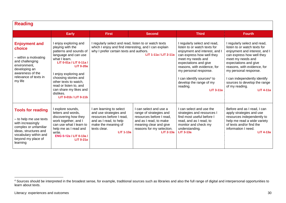| <b>Reading</b>                                                                                                                                                                       |                                                                                                                                                                                                                                                                                                                                 |                                                                                                                                                                                    |                                                                                                                                                                                    |                                                                                                                                                                                                                                                                                                                                       |                                                                                                                                                                                                                                                                                                                                      |
|--------------------------------------------------------------------------------------------------------------------------------------------------------------------------------------|---------------------------------------------------------------------------------------------------------------------------------------------------------------------------------------------------------------------------------------------------------------------------------------------------------------------------------|------------------------------------------------------------------------------------------------------------------------------------------------------------------------------------|------------------------------------------------------------------------------------------------------------------------------------------------------------------------------------|---------------------------------------------------------------------------------------------------------------------------------------------------------------------------------------------------------------------------------------------------------------------------------------------------------------------------------------|--------------------------------------------------------------------------------------------------------------------------------------------------------------------------------------------------------------------------------------------------------------------------------------------------------------------------------------|
|                                                                                                                                                                                      | <b>Early</b>                                                                                                                                                                                                                                                                                                                    | <b>First</b>                                                                                                                                                                       | <b>Second</b>                                                                                                                                                                      | <b>Third</b>                                                                                                                                                                                                                                                                                                                          | <b>Fourth</b>                                                                                                                                                                                                                                                                                                                        |
| <b>Enjoyment and</b><br>choice<br>- within a motivating<br>and challenging<br>environment.<br>developing an<br>awareness of the<br>relevance of texts in<br>my life                  | I enjoy exploring and<br>playing with the<br>patterns and sounds of<br>language and can use<br>what I learn.<br>LIT 0-01a / LIT 0-11a /<br><b>LIT 0-20a</b><br>I enjoy exploring and<br>choosing stories and<br>other texts to watch,<br>read or listen to, and<br>can share my likes and<br>dislikes.<br>LIT 0-01b / LIT 0-11b | I regularly select and read, listen to or watch texts<br>which I enjoy and find interesting, and I can explain<br>why I prefer certain texts and authors.<br>LIT 1-11a / LIT 2-11a |                                                                                                                                                                                    | I regularly select and read,<br>listen to or watch texts for<br>enjoyment and interest, and I<br>can express how well they<br>meet my needs and<br>expectations and give<br>reasons, with evidence, for<br>my personal response.<br>I can identify sources <sup>4</sup> to<br>develop the range of my<br>reading.<br><b>LIT 3-11a</b> | I regularly select and read,<br>listen to or watch texts for<br>enjoyment and interest, and I<br>can express how well they<br>meet my needs and<br>expectations and give<br>reasons, with evidence, for<br>my personal response.<br>can independently identify<br>sources to develop the range<br>of my reading.<br><b>LIT 4-11a</b> |
| <b>Tools for reading</b><br>- to help me use texts<br>with increasingly<br>complex or unfamiliar<br>ideas, structures and<br>vocabulary within and<br>beyond my place of<br>learning | I explore sounds,<br>letters and words,<br>discovering how they<br>work together, and I<br>can use what I learn to<br>help me as I read and<br>write.<br>ENG 0-12a / LIT 0-13a /<br><b>LIT 0-21a</b>                                                                                                                            | I am learning to select<br>and use strategies and<br>resources before I read,<br>and as I read, to help<br>make the meaning of<br>texts clear.<br><b>LIT 1-13a</b>                 | I can select and use a<br>range of strategies and<br>resources before I read,<br>and as I read, to make<br>meaning clear and give<br>reasons for my selection.<br><b>LIT 2-13a</b> | I can select and use the<br>strategies and resources I<br>find most useful before I<br>read, and as I read, to<br>monitor and check my<br>understanding.<br>$LIT$ 3-13a                                                                                                                                                               | Before and as I read, I can<br>apply strategies and use<br>resources independently to<br>help me read a wide variety<br>of texts and/or find the<br>information I need.<br>$LIT$ 4-13a                                                                                                                                               |

<sup>&</sup>lt;sup>4</sup> Sources should be interpreted in the broadest sense, for example, traditional sources such as libraries and also the full range of digital and interpersonal opportunities to learn about texts.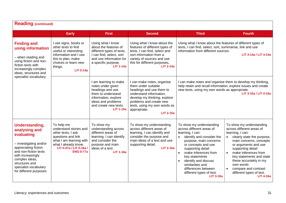| <b>Reading (continued)</b>                                                                                                                                                                                                                  |                                                                                                                                                                                    |                                                                                                                                                                                 |                                                                                                                                                                                                                                         |                                                                                                                                                                                                                                                                                                                                           |                                                                                                                                                                                                                                                                                                                                                    |
|---------------------------------------------------------------------------------------------------------------------------------------------------------------------------------------------------------------------------------------------|------------------------------------------------------------------------------------------------------------------------------------------------------------------------------------|---------------------------------------------------------------------------------------------------------------------------------------------------------------------------------|-----------------------------------------------------------------------------------------------------------------------------------------------------------------------------------------------------------------------------------------|-------------------------------------------------------------------------------------------------------------------------------------------------------------------------------------------------------------------------------------------------------------------------------------------------------------------------------------------|----------------------------------------------------------------------------------------------------------------------------------------------------------------------------------------------------------------------------------------------------------------------------------------------------------------------------------------------------|
|                                                                                                                                                                                                                                             | <b>Early</b>                                                                                                                                                                       | <b>First</b>                                                                                                                                                                    | <b>Second</b>                                                                                                                                                                                                                           | <b>Third</b>                                                                                                                                                                                                                                                                                                                              | <b>Fourth</b>                                                                                                                                                                                                                                                                                                                                      |
| <b>Finding and</b><br>using information<br>- when reading and<br>using fiction and non-<br>fiction texts with<br>increasingly complex<br>ideas, structures and                                                                              | I use signs, books or<br>other texts to find<br>useful or interesting<br>information and I use<br>this to plan, make<br>choices or learn new<br>things.<br><b>LIT 0-14a</b>        | Using what I know<br>about the features of<br>different types of texts,<br>I can find, select, sort<br>and use information for<br>a specific purpose.<br><b>LIT 1-14a</b>       | Using what I know about the<br>features of different types of<br>texts, I can find, select and<br>sort information from a<br>variety of sources and use<br>this for different purposes.<br>$LIT 2-14a$                                  | Using what I know about the features of different types of<br>texts, I can find, select, sort, summarise, link and use<br>information from different sources.<br>LIT 3-14a / LIT 4-14a                                                                                                                                                    |                                                                                                                                                                                                                                                                                                                                                    |
| specialist vocabulary                                                                                                                                                                                                                       |                                                                                                                                                                                    | I am learning to make<br>notes under given<br>headings and use<br>them to understand<br>information, explore<br>ideas and problems<br>and create new texts.<br><b>LIT 1-15a</b> | I can make notes, organise<br>them under suitable<br>headings and use them to<br>understand information,<br>develop my thinking, explore<br>problems and create new<br>texts, using my own words as<br>appropriate.<br><b>LIT 2-15a</b> | I can make notes and organise them to develop my thinking,<br>help retain and recall information, explore issues and create<br>new texts, using my own words as appropriate.                                                                                                                                                              | LIT 3-15a / LIT 4-15a                                                                                                                                                                                                                                                                                                                              |
| <b>Understanding,</b><br>analysing and<br>evaluating<br>- investigating and/or<br>appreciating fiction<br>and non-fiction texts<br>with increasingly<br>complex ideas,<br>structures and<br>specialist vocabulary<br>for different purposes | To help me<br>understand stories and<br>other texts, I ask<br>questions and link<br>what I am learning with<br>what I already know.<br>LIT 0-07a / LIT 0-16a /<br><b>ENG 0-17a</b> | To show my<br>understanding across<br>different areas of<br>learning, I can identify<br>and consider the<br>purpose and main<br>ideas of a text.<br><b>LIT 1-16a</b>            | To show my understanding<br>across different areas of<br>learning, I can identify and<br>consider the purpose and<br>main ideas of a text and use<br>supporting detail.<br><b>LIT 2-16a</b>                                             | To show my understanding<br>across different areas of<br>learning, I can:<br>identify and consider the<br>purpose, main concerns<br>or concepts and use<br>supporting detail<br>make inferences from<br>key statements<br>identify and discuss<br>similarities and<br>differences between<br>different types of text.<br><b>LIT 3-16a</b> | To show my understanding<br>across different areas of<br>learning, I can:<br>clearly state the purpose,<br>main concerns, concepts<br>or arguments and use<br>supporting detail<br>make inferences from<br>key statements and state<br>these accurately in my<br>own words<br>compare and contrast<br>different types of text.<br><b>LIT 4-16a</b> |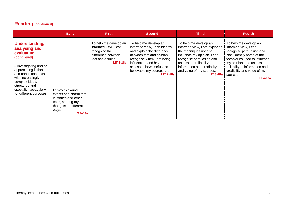| <b>Reading (continued)</b>                                                                                                                                                     |                                                                                                                                               |                                                                                                                               |                                                                                                                                                                                                                                                |                                                                                                                                                                                                                                                    |                                                                                                                                                                                                                                                                        |  |  |  |
|--------------------------------------------------------------------------------------------------------------------------------------------------------------------------------|-----------------------------------------------------------------------------------------------------------------------------------------------|-------------------------------------------------------------------------------------------------------------------------------|------------------------------------------------------------------------------------------------------------------------------------------------------------------------------------------------------------------------------------------------|----------------------------------------------------------------------------------------------------------------------------------------------------------------------------------------------------------------------------------------------------|------------------------------------------------------------------------------------------------------------------------------------------------------------------------------------------------------------------------------------------------------------------------|--|--|--|
|                                                                                                                                                                                | <b>Early</b>                                                                                                                                  | <b>First</b>                                                                                                                  | <b>Second</b>                                                                                                                                                                                                                                  | <b>Third</b>                                                                                                                                                                                                                                       | <b>Fourth</b>                                                                                                                                                                                                                                                          |  |  |  |
| Understanding,<br>analysing and<br>evaluating<br>(continued)<br>- investigating and/or<br>appreciating fiction<br>and non-fiction texts<br>with increasingly<br>complex ideas, |                                                                                                                                               | To help me develop an<br>informed view, I can<br>recognise the<br>difference between<br>fact and opinion.<br><b>LIT 1-18a</b> | To help me develop an<br>informed view, I can identify<br>and explain the difference<br>between fact and opinion,<br>recognise when I am being<br>influenced, and have<br>assessed how useful and<br>believable my sources are.<br>$LIT$ 2-18a | To help me develop an<br>informed view, I am exploring<br>the techniques used to<br>influence my opinion. I can<br>recognise persuasion and<br>assess the reliability of<br>information and credibility<br>and value of my sources.<br>$LIT$ 3-18a | To help me develop an<br>informed view, I can<br>recognise persuasion and<br>bias, identify some of the<br>techniques used to influence<br>my opinion, and assess the<br>reliability of information and<br>credibility and value of my<br>sources.<br><b>LIT 4-18a</b> |  |  |  |
| structures and<br>specialist vocabulary<br>for different purposes                                                                                                              | I enjoy exploring<br>events and characters<br>in stories and other<br>texts, sharing my<br>thoughts in different<br>ways.<br><b>LIT 0-19a</b> |                                                                                                                               |                                                                                                                                                                                                                                                |                                                                                                                                                                                                                                                    |                                                                                                                                                                                                                                                                        |  |  |  |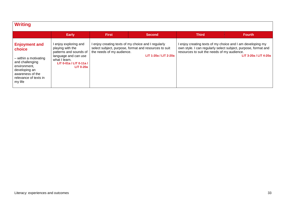| <b>Writing</b>                                                                                                                                                      |                                                                                                                                                             |                           |                                                                                                                                       |                                             |                                                                                                                                                       |
|---------------------------------------------------------------------------------------------------------------------------------------------------------------------|-------------------------------------------------------------------------------------------------------------------------------------------------------------|---------------------------|---------------------------------------------------------------------------------------------------------------------------------------|---------------------------------------------|-------------------------------------------------------------------------------------------------------------------------------------------------------|
|                                                                                                                                                                     | <b>Early</b>                                                                                                                                                | <b>First</b>              | <b>Second</b>                                                                                                                         | <b>Third</b>                                | <b>Fourth</b>                                                                                                                                         |
| <b>Enjoyment and</b><br>choice<br>- within a motivating<br>and challenging<br>environment.<br>developing an<br>awareness of the<br>relevance of texts in<br>my life | I enjoy exploring and<br>playing with the<br>patterns and sounds of<br>language and can use<br>what I learn.<br>LIT 0-01a / LIT 0-11a /<br><b>LIT 0-20a</b> | the needs of my audience. | I enjoy creating texts of my choice and I regularly<br>select subject, purpose, format and resources to suit<br>LIT 1-20a / LIT 2-20a | resources to suit the needs of my audience. | I enjoy creating texts of my choice and I am developing my<br>own style. I can regularly select subject, purpose, format and<br>LIT 3-20a / LIT 4-20a |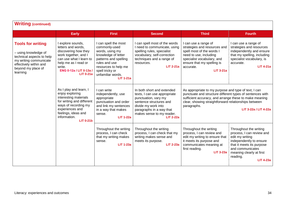| <b>Writing (continued)</b>                                                                                                                                          |                                                                                                                                                                                                       |                                                                                                                                                                                                               |                                                                                                                                                                                                                   |                                                                                                                                                                                                                                                                             |                                                                                                                                                                                                                |
|---------------------------------------------------------------------------------------------------------------------------------------------------------------------|-------------------------------------------------------------------------------------------------------------------------------------------------------------------------------------------------------|---------------------------------------------------------------------------------------------------------------------------------------------------------------------------------------------------------------|-------------------------------------------------------------------------------------------------------------------------------------------------------------------------------------------------------------------|-----------------------------------------------------------------------------------------------------------------------------------------------------------------------------------------------------------------------------------------------------------------------------|----------------------------------------------------------------------------------------------------------------------------------------------------------------------------------------------------------------|
|                                                                                                                                                                     | <b>Early</b>                                                                                                                                                                                          | <b>First</b>                                                                                                                                                                                                  | <b>Second</b>                                                                                                                                                                                                     | <b>Third</b>                                                                                                                                                                                                                                                                | <b>Fourth</b>                                                                                                                                                                                                  |
| <b>Tools for writing</b><br>- using knowledge of<br>technical aspects to help<br>my writing communicate<br>effectively within and<br>beyond my place of<br>learning | I explore sounds,<br>letters and words,<br>discovering how they<br>work together, and I<br>can use what I learn to<br>help me as I read or<br>write.<br>ENG 0-12a / LIT 0-13a /<br><b>LIT 0-21a</b>   | I can spell the most<br>commonly-used<br>words, using my<br>knowledge of letter<br>patterns and spelling<br>rules and use<br>resources to help me<br>spell tricky or<br>unfamiliar words.<br><b>LIT 1-21a</b> | I can spell most of the words<br>I need to communicate, using<br>spelling rules, specialist<br>vocabulary, self-correction<br>techniques and a range of<br>resources.<br><b>LIT 2-21a</b>                         | I can use a range of<br>strategies and resources and<br>spell most of the words I<br>need to use, including<br>specialist vocabulary, and<br>ensure that my spelling is<br>accurate.<br><b>LIT 3-21a</b>                                                                    | I can use a range of<br>strategies and resources<br>independently and ensure<br>that my spelling, including<br>specialist vocabulary, is<br>accurate.<br><b>LIT 4-21a</b>                                      |
|                                                                                                                                                                     | As I play and learn, I<br>enjoy exploring<br>interesting materials<br>for writing and different<br>ways of recording my<br>experiences and<br>feelings, ideas and<br>information.<br><b>LIT 0-21b</b> | I can write<br>independently, use<br>appropriate<br>punctuation and order<br>and link my sentences<br>in a way that makes<br>sense.<br>$LIT 1-22a$                                                            | In both short and extended<br>texts, I can use appropriate<br>punctuation, vary my<br>sentence structures and<br>divide my work into<br>paragraphs in a way that<br>makes sense to my reader.<br><b>LIT 2-22a</b> | As appropriate to my purpose and type of text, I can<br>punctuate and structure different types of sentences with<br>sufficient accuracy, and arrange these to make meaning<br>clear, showing straightforward relationships between<br>paragraphs.<br>LIT 3-22a / LIT 4-22a |                                                                                                                                                                                                                |
|                                                                                                                                                                     |                                                                                                                                                                                                       | Throughout the writing<br>process, I can check<br>that my writing makes<br>sense.<br><b>LIT 1-23a</b>                                                                                                         | Throughout the writing<br>process, I can check that my<br>writing makes sense and<br>meets its purpose.<br><b>LIT 2-23a</b>                                                                                       | Throughout the writing<br>process, I can review and<br>edit my writing to ensure that<br>it meets its purpose and<br>communicates meaning at<br>first reading.<br><b>LIT 3-23a</b>                                                                                          | Throughout the writing<br>process, I can review and<br>edit my writing<br>independently to ensure<br>that it meets its purpose<br>and communicates<br>meaning clearly at first<br>reading.<br><b>LIT 4-23a</b> |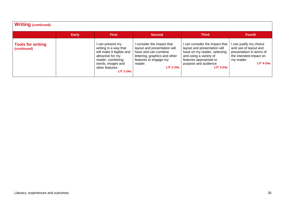| <b>Writing (continued)</b>              |              |                                                                                                                                                                             |                                                                                                                                                                             |                                                                                                                                                                                             |                                                                                                                                          |  |  |  |
|-----------------------------------------|--------------|-----------------------------------------------------------------------------------------------------------------------------------------------------------------------------|-----------------------------------------------------------------------------------------------------------------------------------------------------------------------------|---------------------------------------------------------------------------------------------------------------------------------------------------------------------------------------------|------------------------------------------------------------------------------------------------------------------------------------------|--|--|--|
|                                         | <b>Early</b> | <b>First</b>                                                                                                                                                                | <b>Second</b>                                                                                                                                                               | <b>Third</b>                                                                                                                                                                                | <b>Fourth</b>                                                                                                                            |  |  |  |
| <b>Tools for writing</b><br>(continued) |              | l can present my<br>writing in a way that<br>will make it legible and<br>attractive for my<br>reader, combining<br>words, images and<br>other features.<br><b>LIT 1-24a</b> | I consider the impact that<br>layout and presentation will<br>have and can combine<br>lettering, graphics and other<br>features to engage my<br>reader.<br><b>LIT 2-24a</b> | I can consider the impact that<br>layout and presentation will<br>have on my reader, selecting<br>and using a variety of<br>features appropriate to<br>purpose and audience.<br>$LIT$ 3-24a | I can justify my choice<br>and use of layout and<br>presentation in terms of<br>the intended impact on<br>my reader.<br><b>LIT 4-24a</b> |  |  |  |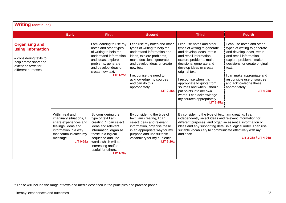| <b>Writing (continued)</b>                                                                                                                |                                                                                                                                                                            |                                                                                                                                                                                                                                                                |                                                                                                                                                                                                                                                                                                             |                                                                                                                                                                                                                                                                                                                                                                                                              |                                                                                                                                                                                                                                                                                                                  |  |  |
|-------------------------------------------------------------------------------------------------------------------------------------------|----------------------------------------------------------------------------------------------------------------------------------------------------------------------------|----------------------------------------------------------------------------------------------------------------------------------------------------------------------------------------------------------------------------------------------------------------|-------------------------------------------------------------------------------------------------------------------------------------------------------------------------------------------------------------------------------------------------------------------------------------------------------------|--------------------------------------------------------------------------------------------------------------------------------------------------------------------------------------------------------------------------------------------------------------------------------------------------------------------------------------------------------------------------------------------------------------|------------------------------------------------------------------------------------------------------------------------------------------------------------------------------------------------------------------------------------------------------------------------------------------------------------------|--|--|
|                                                                                                                                           | <b>Early</b>                                                                                                                                                               | <b>First</b>                                                                                                                                                                                                                                                   | <b>Second</b>                                                                                                                                                                                                                                                                                               | <b>Third</b>                                                                                                                                                                                                                                                                                                                                                                                                 | <b>Fourth</b>                                                                                                                                                                                                                                                                                                    |  |  |
| <b>Organising and</b><br>using information<br>- considering texts to<br>help create short and<br>extended texts for<br>different purposes |                                                                                                                                                                            | I am learning to use my<br>notes and other types<br>of writing to help me<br>understand information<br>and ideas, explore<br>problems, generate<br>and develop ideas or<br>create new text.<br><b>LIT 1-25a</b>                                                | I can use my notes and other<br>types of writing to help me<br>understand information and<br>ideas, explore problems,<br>make decisions, generate<br>and develop ideas or create<br>new text.<br>I recognise the need to<br>acknowledge my sources<br>and can do this<br>appropriately.<br><b>LIT 2-25a</b> | can use notes and other<br>types of writing to generate<br>and develop ideas, retain<br>and recall information,<br>explore problems, make<br>decisions, generate and<br>develop ideas or create<br>original text.<br>I recognise when it is<br>appropriate to quote from<br>sources and when I should<br>put points into my own<br>words. I can acknowledge<br>my sources appropriately.<br><b>LIT 3-25a</b> | I can use notes and other<br>types of writing to generate<br>and develop ideas, retain<br>and recall information.<br>explore problems, make<br>decisions, or create original<br>text.<br>I can make appropriate and<br>responsible use of sources<br>and acknowledge these<br>appropriately.<br><b>LIT 4-25a</b> |  |  |
|                                                                                                                                           | Within real and<br>imaginary situations, I<br>share experiences and<br>feelings, ideas and<br>information in a way<br>that communicates my<br>message.<br><b>LIT 0-26a</b> | By considering the<br>type of text I am<br>creating, <sup>5</sup> I can select<br>ideas and relevant<br>information, organise<br>these in a logical<br>sequence and use<br>words which will be<br>interesting and/or<br>useful for others.<br><b>LIT 1-26a</b> | By considering the type of<br>text I am creating, I can<br>select ideas and relevant<br>information, organise these<br>in an appropriate way for my<br>purpose and use suitable<br>vocabulary for my audience.<br><b>LIT 2-26a</b>                                                                          | By considering the type of text I am creating, I can<br>independently select ideas and relevant information for<br>different purposes, and organise essential information or<br>ideas and any supporting detail in a logical order. I can use<br>suitable vocabulary to communicate effectively with my<br>audience.                                                                                         | LIT 3-26a / LIT 4-26a                                                                                                                                                                                                                                                                                            |  |  |

 $5$  These will include the range of texts and media described in the principles and practice paper.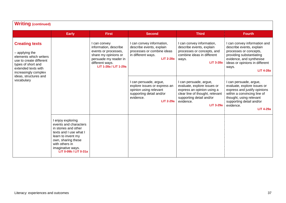| <b>Writing (continued)</b>                                                                                                                                                                               |                                                                                                                                                                                                          |                                                                                                                                                            |                                                                                                                                               |                                                                                                                                                                                     |                                                                                                                                                                                                              |  |  |
|----------------------------------------------------------------------------------------------------------------------------------------------------------------------------------------------------------|----------------------------------------------------------------------------------------------------------------------------------------------------------------------------------------------------------|------------------------------------------------------------------------------------------------------------------------------------------------------------|-----------------------------------------------------------------------------------------------------------------------------------------------|-------------------------------------------------------------------------------------------------------------------------------------------------------------------------------------|--------------------------------------------------------------------------------------------------------------------------------------------------------------------------------------------------------------|--|--|
|                                                                                                                                                                                                          | <b>Early</b>                                                                                                                                                                                             | <b>First</b>                                                                                                                                               | <b>Second</b>                                                                                                                                 | <b>Third</b>                                                                                                                                                                        | <b>Fourth</b>                                                                                                                                                                                                |  |  |
| <b>Creating texts</b><br>- applying the<br>elements which writers<br>use to create different<br>types of short and<br>extended texts with<br>increasingly complex<br>ideas, structures and<br>vocabulary |                                                                                                                                                                                                          | I can convey<br>information, describe<br>events or processes,<br>share my opinions or<br>persuade my reader in<br>different ways.<br>LIT 1-28a / LIT 1-29a | I can convey information,<br>describe events, explain<br>processes or combine ideas<br>in different ways.<br><b>LIT 2-28a</b>                 | I can convey information,<br>describe events, explain<br>processes or concepts, and<br>combine ideas in different<br>ways.<br><b>LIT 3-28a</b>                                      | I can convey information and<br>describe events, explain<br>processes or concepts,<br>providing substantiating<br>evidence, and synthesise<br>ideas or opinions in different<br>ways.<br><b>LIT 4-28a</b>    |  |  |
|                                                                                                                                                                                                          |                                                                                                                                                                                                          |                                                                                                                                                            | I can persuade, argue,<br>explore issues or express an<br>opinion using relevant<br>supporting detail and/or<br>evidence.<br><b>LIT 2-29a</b> | I can persuade, argue,<br>evaluate, explore issues or<br>express an opinion using a<br>clear line of thought, relevant<br>supporting detail and/or<br>evidence.<br><b>LIT 3-29a</b> | I can persuade, argue,<br>evaluate, explore issues or<br>express and justify opinions<br>within a convincing line of<br>thought, using relevant<br>supporting detail and/or<br>evidence.<br><b>LIT 4-29a</b> |  |  |
|                                                                                                                                                                                                          | I enjoy exploring<br>events and characters<br>in stories and other<br>texts and I use what I<br>learn to invent my<br>own, sharing these<br>with others in<br>imaginative ways.<br>LIT 0-09b / LIT 0-31a |                                                                                                                                                            |                                                                                                                                               |                                                                                                                                                                                     |                                                                                                                                                                                                              |  |  |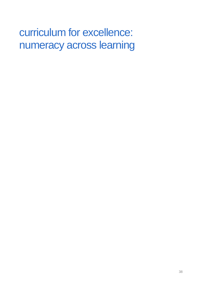# curriculum for excellence: numeracy across learning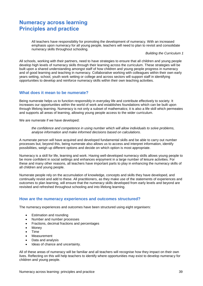# **Numeracy across learning Principles and practice**

All teachers have responsibility for promoting the development of numeracy. With an increased emphasis upon numeracy for all young people, teachers will need to plan to revisit and consolidate numeracy skills throughout schooling.

*Building the Curriculum 1*

All schools, working with their partners, need to have strategies to ensure that all children and young people develop high levels of numeracy skills through their learning across the curriculum. These strategies will be built upon a shared understanding amongst staff of how children and young people progress in numeracy and of good learning and teaching in numeracy. Collaborative working with colleagues within their own early years setting, school, youth work setting or college and across sectors will support staff in identifying opportunities to develop and reinforce numeracy skills within their own teaching activities.

### **What does it mean to be numerate?**

Being numerate helps us to function responsibly in everyday life and contribute effectively to society. It increases our opportunities within the world of work and establishes foundations which can be built upon through lifelong learning. Numeracy is not only a subset of mathematics; it is also a life skill which permeates and supports all areas of learning, allowing young people access to the wider curriculum.

We are numerate if we have developed:

*the confidence and competence in using number which will allow individuals to solve problems, analyse information and make informed decisions based on calculations*.

A numerate person will have acquired and developed fundamental skills and be able to carry out number processes but, beyond this, being numerate also allows us to access and interpret information, identify possibilities, weigh up different options and decide on which option is most appropriate.

Numeracy is a skill for life, learning and work. Having well-developed numeracy skills allows young people to be more confident in social settings and enhances enjoyment in a large number of leisure activities. For these and many other reasons, all teachers have important parts to play in enhancing the numeracy skills of all children and young people.

Numerate people rely on the accumulation of knowledge, concepts and skills they have developed, and continually revisit and add to these. All practitioners, as they make use of the statements of experiences and outcomes to plan learning, will ensure that the numeracy skills developed from early levels and beyond are revisited and refreshed throughout schooling and into lifelong learning.

#### **How are the numeracy experiences and outcomes structured?**

The numeracy experiences and outcomes have been structured using eight organisers:

- Estimation and rounding
- Number and number processes
- Fractions, decimal fractions and percentages
- Money
- Time
- Measurement
- Data and analysis
- Ideas of chance and uncertainty.

All of these areas of numeracy will be familiar and all teachers will recognise how they impact on their own lives. Reflecting on this will help teachers to identify where opportunities may exist to develop numeracy for children and young people.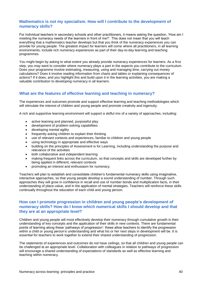# **Mathematics is not my specialism. How will I contribute to the development of numeracy skills?**

For individual teachers in secondary schools and other practitioners, it means asking the question, 'How am I meeting the numeracy needs of the learners in front of me?'. This does not mean that you will teach everything that a mathematics teacher develops but that you think of the numeracy experiences you can provide for young people. The greatest impact for learners will come where all practitioners, in all learning environments, include rich numeracy experiences as part of their day-to-day learning and teaching programmes.

You might begin by asking to what extent you already provide numeracy experiences for learners. As a first step, you may want to consider where numeracy plays a part in the aspects you contribute to the curriculum. Does your programme involve estimating, measuring, using and managing time, carrying out money calculations? Does it involve reading information from charts and tables or explaining consequences of actions? If it does, and you highlight this and build upon it in the learning activities, you are making a valuable contribution to developing numeracy in all learners.

# **What are the features of effective learning and teaching in numeracy?**

The experiences and outcomes promote and support effective learning and teaching methodologies which will stimulate the interest of children and young people and promote creativity and ingenuity.

A rich and supportive learning environment will support a skilful mix of a variety of approaches, including:

- active learning and planned, purposeful play
- development of problem-solving capabilities
- developing mental agility
- frequently asking children to explain their thinking
- use of relevant contexts and experiences, familiar to children and young people
- using technology in appropriate and effective ways
- building on the principles of Assessment is for Learning, including understanding the purpose and relevance of the activities
- both collaborative and independent learning
- making frequent links across the curriculum, so that concepts and skills are developed further by being applied in different, relevant contexts
- promoting an interest and enthusiasm for numeracy.

Teachers will plan to establish and consolidate children's fundamental numeracy skills using imaginative, interactive approaches, so that young people develop a sound understanding of number. Through such approaches they will grow in confidence in recall and use of number bonds and multiplication facts, in their understanding of place-value, and in the application of mental strategies. Teachers will reinforce these skills continually throughout the education of each child and young person.

## **How can I promote progression in children and young people's development of numeracy skills? How do I know which numerical skills I should develop and that they are at an appropriate level?**

Children and young people will most effectively develop their numeracy through cumulative growth in their understanding of key concepts and the application of their skills in new contexts. There are fundamental points of learning along these 'pathways of progression': these allow teachers to identify the progression within a child or young person's understanding and what his or her next steps in development will be. It is essential for teachers to work together to extend their shared understanding of progression.

The statements of experiences and outcomes do not have ceilings, so that all children and young people can be challenged at an appropriate level. Collaboration with colleagues in relation to pathways of progression will encourage a shared understanding of expectations of standards as well as effective learning and teaching within numeracy.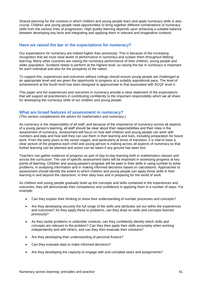Shared planning for the contexts in which children and young people learn and apply numeracy skills is also crucial. Children and young people need opportunities to bring together different combinations of numeracy skills from the various lines of progression. High quality learning depends upon achieving a suitable balance between developing key facts and integrating and applying them in relevant and imaginative contexts.

## **Have we raised the bar in the expectations for numeracy?**

Our expectations for numeracy are indeed higher than previously. This is because of the increasing recognition that we must raise levels of performance in numeracy and sustain them throughout lifelong learning. Many other countries are raising the numeracy performance of their children, young people and wider population. Scotland needs to perform at the highest level, so raising the bar in numeracy is important for each individual and also for the prosperity of the nation.

To support this, experiences and outcomes without ceilings should ensure young people are challenged at an appropriate level and are given the opportunity to progress at a suitably aspirational pace. The level of achievement at the fourth level has been designed to approximate to that associated with SCQF level 4.

This paper and the experiences and outcomes in numeracy provide a clear statement of the expectations that will support all practitioners in contributing confidently to the important responsibility which we all share for developing the numeracy skills of our children and young people.

#### **What are broad features of assessment in numeracy?**

*(This section complements the advice for mathematics and numeracy.)* 

As numeracy is the responsibility of all staff, and because of the importance of numeracy across all aspects of a young person's learning, all staff should be clear about their responsibilities and their roles in the assessment of numeracy. Assessment will focus on how well children and young people can work with numbers and data and how well they can use them in their learning and lives, including preparation for future work. From the early years to the senior stages, and particularly at times of transition, it is vital to have a clear picture of the progress each child and young person is making across all aspects of numeracy so that further learning can be planned and action can be taken if any ground has been lost.

Teachers can gather evidence of progress as part of day-to-day learning both in mathematics classes and across the curriculum. The use of specific assessment tasks will be important in assessing progress at key points of learning. Children and young people's progress will be seen in their skills in using number to solve problems, in analysing information and in making informed decisions based on calculations. Approaches to assessment should identify the extent to which children and young people can apply these skills in their learning in and beyond the classroom, in their daily lives and in preparing for the world of work.

As children and young people gradually build up the concepts and skills contained in the experiences and outcomes, they will demonstrate their competence and confidence in applying them in a number of ways. For example:

- Can they explain their thinking to show their understanding of number processes and concepts?
- Are they developing securely the full range of the skills and attributes set out within the experiences and outcomes? As they apply these to problems, can they draw on skills and concepts learned previously?
- As they tackle problems in unfamiliar contexts, can they confidently identify which skills and concepts are relevant to the problem? Can they then apply their skills accurately when working independently and with others, and can they then evaluate their solutions?
- Are they developing their understanding of personal finance?
- Can they evaluate data to make informed decisions?
- Are they developing the capacity to engage with and complete tasks and assignments?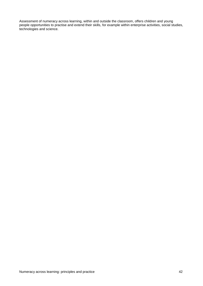Assessment of numeracy across learning, within and outside the classroom, offers children and young people opportunities to practise and extend their skills, for example within enterprise activities, social studies, technologies and science.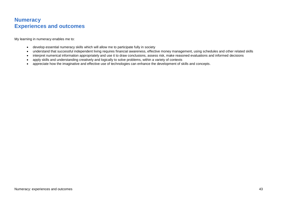# **Numeracy Experiences and outcomes**

My learning in numeracy enables me to:

- develop essential numeracy skills which will allow me to participate fully in society
- understand that successful independent living requires financial awareness, effective money management, using schedules and other related skills
- interpret numerical information appropriately and use it to draw conclusions, assess risk, make reasoned evaluations and informed decisions
- apply skills and understanding creatively and logically to solve problems, within a variety of contexts
- appreciate how the imaginative and effective use of technologies can enhance the development of skills and concepts.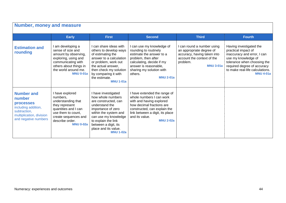| <b>Number, money and measure</b>                                                                                                           |                                                                                                                                                                                    |                                                                                                                                                                                                                                                      |                                                                                                                                                                                                                            |                                                                                                                                                     |                                                                                                                                                                                                                           |  |  |  |
|--------------------------------------------------------------------------------------------------------------------------------------------|------------------------------------------------------------------------------------------------------------------------------------------------------------------------------------|------------------------------------------------------------------------------------------------------------------------------------------------------------------------------------------------------------------------------------------------------|----------------------------------------------------------------------------------------------------------------------------------------------------------------------------------------------------------------------------|-----------------------------------------------------------------------------------------------------------------------------------------------------|---------------------------------------------------------------------------------------------------------------------------------------------------------------------------------------------------------------------------|--|--|--|
|                                                                                                                                            | <b>Early</b>                                                                                                                                                                       | <b>First</b>                                                                                                                                                                                                                                         | <b>Second</b>                                                                                                                                                                                                              | <b>Third</b>                                                                                                                                        | <b>Fourth</b>                                                                                                                                                                                                             |  |  |  |
| <b>Estimation and</b><br>rounding                                                                                                          | I am developing a<br>sense of size and<br>amount by observing,<br>exploring, using and<br>communicating with<br>others about things in<br>the world around me.<br><b>MNU 0-01a</b> | I can share ideas with<br>others to develop ways<br>of estimating the<br>answer to a calculation<br>or problem, work out<br>the actual answer,<br>then check my solution<br>by comparing it with<br>the estimate.<br><b>MNU 1-01a</b>                | I can use my knowledge of<br>rounding to routinely<br>estimate the answer to a<br>problem, then after<br>calculating, decide if my<br>answer is reasonable,<br>sharing my solution with<br>others.<br><b>MNU 2-01a</b>     | I can round a number using<br>an appropriate degree of<br>accuracy, having taken into<br>account the context of the<br>problem.<br><b>MNU 3-01a</b> | Having investigated the<br>practical impact of<br>inaccuracy and error, I can<br>use my knowledge of<br>tolerance when choosing the<br>required degree of accuracy<br>to make real-life calculations.<br><b>MNU 4-01a</b> |  |  |  |
| <b>Number and</b><br>number<br><b>processes</b><br>including addition,<br>subtraction,<br>multiplication, division<br>and negative numbers | I have explored<br>numbers,<br>understanding that<br>they represent<br>quantities and I can<br>use them to count.<br>create sequences and<br>describe order.<br><b>MNU 0-02a</b>   | I have investigated<br>how whole numbers<br>are constructed, can<br>understand the<br>importance of zero<br>within the system and<br>can use my knowledge<br>to explain the link<br>between a digit, its<br>place and its value.<br><b>MNU 1-02a</b> | I have extended the range of<br>whole numbers I can work<br>with and having explored<br>how decimal fractions are<br>constructed, can explain the<br>link between a digit, its place<br>and its value.<br><b>MNU 2-02a</b> |                                                                                                                                                     |                                                                                                                                                                                                                           |  |  |  |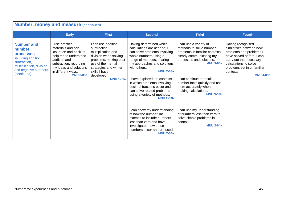| <b>Number, money and measure (continued)</b>                                                                                                              |                                                                                                                                                                                                       |                                                                                                                                                                                                               |                                                                                                                                                                                                                                                                                                                                                                                               |                                                                                                                                                                                                                                                                                               |                                                                                                                                                                                                                          |  |  |  |
|-----------------------------------------------------------------------------------------------------------------------------------------------------------|-------------------------------------------------------------------------------------------------------------------------------------------------------------------------------------------------------|---------------------------------------------------------------------------------------------------------------------------------------------------------------------------------------------------------------|-----------------------------------------------------------------------------------------------------------------------------------------------------------------------------------------------------------------------------------------------------------------------------------------------------------------------------------------------------------------------------------------------|-----------------------------------------------------------------------------------------------------------------------------------------------------------------------------------------------------------------------------------------------------------------------------------------------|--------------------------------------------------------------------------------------------------------------------------------------------------------------------------------------------------------------------------|--|--|--|
|                                                                                                                                                           | <b>Early</b>                                                                                                                                                                                          | <b>First</b>                                                                                                                                                                                                  | <b>Second</b>                                                                                                                                                                                                                                                                                                                                                                                 | <b>Third</b>                                                                                                                                                                                                                                                                                  | <b>Fourth</b>                                                                                                                                                                                                            |  |  |  |
| <b>Number and</b><br>number<br><b>processes</b><br>including addition,<br>subtraction,<br>multiplication, division<br>and negative numbers<br>(continued) | I use practical<br>materials and can<br>'count on and back' to<br>help me to understand<br>addition and<br>subtraction, recording<br>my ideas and solutions<br>in different ways.<br><b>MNU 0-03a</b> | I can use addition,<br>subtraction,<br>multiplication and<br>division when solving<br>problems, making best<br>use of the mental<br>strategies and written<br>skills I have<br>developed.<br><b>MNU 1-03a</b> | Having determined which<br>calculations are needed, I<br>can solve problems involving<br>whole numbers using a<br>range of methods, sharing<br>my approaches and solutions<br>with others.<br><b>MNU 2-03a</b><br>I have explored the contexts<br>in which problems involving<br>decimal fractions occur and<br>can solve related problems<br>using a variety of methods.<br><b>MNU 2-03b</b> | I can use a variety of<br>methods to solve number<br>problems in familiar contexts,<br>clearly communicating my<br>processes and solutions.<br><b>MNU 3-03a</b><br>can continue to recall<br>number facts quickly and use<br>them accurately when<br>making calculations.<br><b>MNU 3-03b</b> | Having recognised<br>similarities between new<br>problems and problems I<br>have solved before, I can<br>carry out the necessary<br>calculations to solve<br>problems set in unfamiliar<br>contexts.<br><b>MNU 4-03a</b> |  |  |  |
|                                                                                                                                                           |                                                                                                                                                                                                       |                                                                                                                                                                                                               | I can show my understanding<br>of how the number line<br>extends to include numbers<br>less than zero and have<br>investigated how these<br>numbers occur and are used.<br><b>MNU 2-04a</b>                                                                                                                                                                                                   | can use my understanding<br>of numbers less than zero to<br>solve simple problems in<br>context.<br><b>MNU 3-04a</b>                                                                                                                                                                          |                                                                                                                                                                                                                          |  |  |  |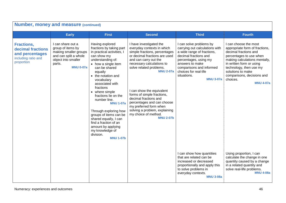| <b>Number, money and measure (continued)</b>                                                   |                                                                                                                                               |                                                                                                                                                                                                                                                                                                                                                                                                                                                                                                   |                                                                                                                                                                                                                                                                                                                                                                                                                                                       |                                                                                                                                                                                                                                                      |                                                                                                                                                                                                                                                                                        |  |  |
|------------------------------------------------------------------------------------------------|-----------------------------------------------------------------------------------------------------------------------------------------------|---------------------------------------------------------------------------------------------------------------------------------------------------------------------------------------------------------------------------------------------------------------------------------------------------------------------------------------------------------------------------------------------------------------------------------------------------------------------------------------------------|-------------------------------------------------------------------------------------------------------------------------------------------------------------------------------------------------------------------------------------------------------------------------------------------------------------------------------------------------------------------------------------------------------------------------------------------------------|------------------------------------------------------------------------------------------------------------------------------------------------------------------------------------------------------------------------------------------------------|----------------------------------------------------------------------------------------------------------------------------------------------------------------------------------------------------------------------------------------------------------------------------------------|--|--|
|                                                                                                | <b>Early</b>                                                                                                                                  | <b>First</b>                                                                                                                                                                                                                                                                                                                                                                                                                                                                                      | <b>Second</b>                                                                                                                                                                                                                                                                                                                                                                                                                                         | <b>Third</b>                                                                                                                                                                                                                                         | <b>Fourth</b>                                                                                                                                                                                                                                                                          |  |  |
| <b>Fractions,</b><br>decimal fractions<br>and percentages<br>including ratio and<br>proportion | I can share out a<br>group of items by<br>making smaller groups<br>and can split a whole<br>object into smaller<br>parts.<br><b>MNU 0-07a</b> | Having explored<br>fractions by taking part<br>in practical activities, I<br>can show my<br>understanding of:<br>• how a single item<br>can be shared<br>equally<br>• the notation and<br>vocabulary<br>associated with<br>fractions<br>• where simple<br>fractions lie on the<br>number line.<br><b>MNU 1-07a</b><br>Through exploring how<br>groups of items can be<br>shared equally, I can<br>find a fraction of an<br>amount by applying<br>my knowledge of<br>division.<br><b>MNU 1-07b</b> | I have investigated the<br>everyday contexts in which<br>simple fractions, percentages<br>or decimal fractions are used<br>and can carry out the<br>necessary calculations to<br>solve related problems.<br><b>MNU 2-07a</b><br>I can show the equivalent<br>forms of simple fractions,<br>decimal fractions and<br>percentages and can choose<br>my preferred form when<br>solving a problem, explaining<br>my choice of method.<br><b>MNU 2-07b</b> | I can solve problems by<br>carrying out calculations with<br>a wide range of fractions,<br>decimal fractions and<br>percentages, using my<br>answers to make<br>comparisons and informed<br>choices for real-life<br>situations.<br><b>MNU 3-07a</b> | I can choose the most<br>appropriate form of fractions,<br>decimal fractions and<br>percentages to use when<br>making calculations mentally,<br>in written form or using<br>technology, then use my<br>solutions to make<br>comparisons, decisions and<br>choices.<br><b>MNU 4-07a</b> |  |  |
|                                                                                                |                                                                                                                                               |                                                                                                                                                                                                                                                                                                                                                                                                                                                                                                   |                                                                                                                                                                                                                                                                                                                                                                                                                                                       | I can show how quantities<br>that are related can be<br>increased or decreased<br>proportionally and apply this<br>to solve problems in<br>everyday contexts.<br><b>MNU 3-08a</b>                                                                    | Using proportion, I can<br>calculate the change in one<br>quantity caused by a change<br>in a related quantity and<br>solve real-life problems.<br><b>MNU 4-08a</b>                                                                                                                    |  |  |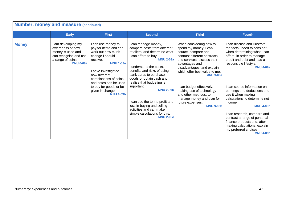| <b>Number, money and measure (continued)</b> |                                                                                                                             |                                                                                                                                                                                                                                                                                 |                                                                                                                                                                                                                                                                                                                                                                                                                                                                 |                                                                                                                                                                                                                                                                                                                                                                                                    |                                                                                                                                                                                                                                                                                                                                                                                                                                                                                                                                      |  |  |  |
|----------------------------------------------|-----------------------------------------------------------------------------------------------------------------------------|---------------------------------------------------------------------------------------------------------------------------------------------------------------------------------------------------------------------------------------------------------------------------------|-----------------------------------------------------------------------------------------------------------------------------------------------------------------------------------------------------------------------------------------------------------------------------------------------------------------------------------------------------------------------------------------------------------------------------------------------------------------|----------------------------------------------------------------------------------------------------------------------------------------------------------------------------------------------------------------------------------------------------------------------------------------------------------------------------------------------------------------------------------------------------|--------------------------------------------------------------------------------------------------------------------------------------------------------------------------------------------------------------------------------------------------------------------------------------------------------------------------------------------------------------------------------------------------------------------------------------------------------------------------------------------------------------------------------------|--|--|--|
|                                              | <b>Early</b>                                                                                                                | <b>First</b>                                                                                                                                                                                                                                                                    | <b>Second</b>                                                                                                                                                                                                                                                                                                                                                                                                                                                   | <b>Third</b>                                                                                                                                                                                                                                                                                                                                                                                       | <b>Fourth</b>                                                                                                                                                                                                                                                                                                                                                                                                                                                                                                                        |  |  |  |
| <b>Money</b>                                 | am developing my<br>awareness of how<br>money is used and<br>can recognise and use<br>a range of coins.<br><b>MNU 0-09a</b> | I can use money to<br>pay for items and can<br>work out how much<br>change I should<br>receive.<br><b>MNU 1-09a</b><br>I have investigated<br>how different<br>combinations of coins<br>and notes can be used<br>to pay for goods or be<br>given in change.<br><b>MNU 1-09b</b> | I can manage money,<br>compare costs from different<br>retailers, and determine what<br>I can afford to buy.<br><b>MNU 2-09a</b><br>I understand the costs,<br>benefits and risks of using<br>bank cards to purchase<br>goods or obtain cash and<br>realise that budgeting is<br>important.<br><b>MNU 2-09b</b><br>I can use the terms profit and<br>loss in buying and selling<br>activities and can make<br>simple calculations for this.<br><b>MNU 2-09c</b> | When considering how to<br>spend my money, I can<br>source, compare and<br>contrast different contracts<br>and services, discuss their<br>advantages and<br>disadvantages, and explain<br>which offer best value to me.<br><b>MNU 3-09a</b><br>I can budget effectively,<br>making use of technology<br>and other methods, to<br>manage money and plan for<br>future expenses.<br><b>MNU 3-09b</b> | I can discuss and illustrate<br>the facts I need to consider<br>when determining what I can<br>afford, in order to manage<br>credit and debt and lead a<br>responsible lifestyle.<br><b>MNU 4-09a</b><br>I can source information on<br>earnings and deductions and<br>use it when making<br>calculations to determine net<br>income.<br><b>MNU 4-09b</b><br>I can research, compare and<br>contrast a range of personal<br>finance products and, after<br>making calculations, explain<br>my preferred choices.<br><b>MNU 4-09c</b> |  |  |  |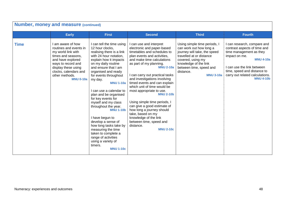| <b>Number, money and measure (continued)</b> |                                                                                                                                                                                                                          |                                                                                                                                                                                                                                                                                                                                                                                                                                                                                                                                                                                                      |                                                                                                                                                                                                                                                                                                                                                                                                                                                                                                                                                                                          |                                                                                                                                                                                                                               |                                                                                                                                                                                                                                                 |  |  |
|----------------------------------------------|--------------------------------------------------------------------------------------------------------------------------------------------------------------------------------------------------------------------------|------------------------------------------------------------------------------------------------------------------------------------------------------------------------------------------------------------------------------------------------------------------------------------------------------------------------------------------------------------------------------------------------------------------------------------------------------------------------------------------------------------------------------------------------------------------------------------------------------|------------------------------------------------------------------------------------------------------------------------------------------------------------------------------------------------------------------------------------------------------------------------------------------------------------------------------------------------------------------------------------------------------------------------------------------------------------------------------------------------------------------------------------------------------------------------------------------|-------------------------------------------------------------------------------------------------------------------------------------------------------------------------------------------------------------------------------|-------------------------------------------------------------------------------------------------------------------------------------------------------------------------------------------------------------------------------------------------|--|--|
|                                              | <b>Early</b>                                                                                                                                                                                                             | <b>First</b>                                                                                                                                                                                                                                                                                                                                                                                                                                                                                                                                                                                         | <b>Second</b>                                                                                                                                                                                                                                                                                                                                                                                                                                                                                                                                                                            | <b>Third</b>                                                                                                                                                                                                                  | <b>Fourth</b>                                                                                                                                                                                                                                   |  |  |
| <b>Time</b>                                  | I am aware of how<br>routines and events in<br>my world link with<br>times and seasons,<br>and have explored<br>ways to record and<br>display these using<br>clocks, calendars and<br>other methods.<br><b>MNU 0-10a</b> | I can tell the time using<br>12 hour clocks,<br>realising there is a link<br>with 24 hour notation,<br>explain how it impacts<br>on my daily routine<br>and ensure that I am<br>organised and ready<br>for events throughout<br>my day.<br><b>MNU 1-10a</b><br>I can use a calendar to<br>plan and be organised<br>for key events for<br>myself and my class<br>throughout the year.<br><b>MNU 1-10b</b><br>I have begun to<br>develop a sense of<br>how long tasks take by<br>measuring the time<br>taken to complete a<br>range of activities<br>using a variety of<br>timers.<br><b>MNU 1-10c</b> | I can use and interpret<br>electronic and paper-based<br>timetables and schedules to<br>plan events and activities,<br>and make time calculations<br>as part of my planning.<br><b>MNU 2-10a</b><br>I can carry out practical tasks<br>and investigations involving<br>timed events and can explain<br>which unit of time would be<br>most appropriate to use.<br><b>MNU 2-10b</b><br>Using simple time periods, I<br>can give a good estimate of<br>how long a journey should<br>take, based on my<br>knowledge of the link<br>between time, speed and<br>distance.<br><b>MNU 2-10c</b> | Using simple time periods, I<br>can work out how long a<br>journey will take, the speed<br>travelled at or distance<br>covered, using my<br>knowledge of the link<br>between time, speed and<br>distance.<br><b>MNU 3-10a</b> | I can research, compare and<br>contrast aspects of time and<br>time management as they<br>impact on me.<br><b>MNU 4-10a</b><br>I can use the link between<br>time, speed and distance to<br>carry out related calculations.<br><b>MNU 4-10b</b> |  |  |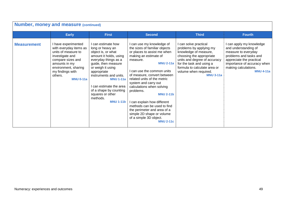| <b>Number, money and measure (continued)</b> |                                                                                                                                                                                                          |                                                                                                                                                                                                                                                                                                                                |                                                                                                                                                                                                                                                                                                                                                                                                                                                                                                              |                                                                                                                                                                                                                                              |                                                                                                                                                                                                          |  |  |  |
|----------------------------------------------|----------------------------------------------------------------------------------------------------------------------------------------------------------------------------------------------------------|--------------------------------------------------------------------------------------------------------------------------------------------------------------------------------------------------------------------------------------------------------------------------------------------------------------------------------|--------------------------------------------------------------------------------------------------------------------------------------------------------------------------------------------------------------------------------------------------------------------------------------------------------------------------------------------------------------------------------------------------------------------------------------------------------------------------------------------------------------|----------------------------------------------------------------------------------------------------------------------------------------------------------------------------------------------------------------------------------------------|----------------------------------------------------------------------------------------------------------------------------------------------------------------------------------------------------------|--|--|--|
|                                              | <b>Early</b>                                                                                                                                                                                             | <b>First</b>                                                                                                                                                                                                                                                                                                                   | <b>Second</b>                                                                                                                                                                                                                                                                                                                                                                                                                                                                                                | <b>Third</b>                                                                                                                                                                                                                                 | <b>Fourth</b>                                                                                                                                                                                            |  |  |  |
| <b>Measurement</b>                           | I have experimented<br>with everyday items as<br>units of measure to<br>investigate and<br>compare sizes and<br>amounts in my<br>environment, sharing<br>my findings with<br>others.<br><b>MNU 0-11a</b> | I can estimate how<br>long or heavy an<br>object is, or what<br>amount it holds, using<br>everyday things as a<br>guide, then measure<br>or weigh it using<br>appropriate<br>instruments and units.<br><b>MNU 1-11a</b><br>can estimate the area<br>of a shape by counting<br>squares or other<br>methods.<br><b>MNU 1-11b</b> | I can use my knowledge of<br>the sizes of familiar objects<br>or places to assist me when<br>making an estimate of<br>measure.<br><b>MNU 2-11a</b><br>I can use the common units<br>of measure, convert between<br>related units of the metric<br>system and carry out<br>calculations when solving<br>problems.<br><b>MNU 2-11b</b><br>I can explain how different<br>methods can be used to find<br>the perimeter and area of a<br>simple 2D shape or volume<br>of a simple 3D object.<br><b>MNU 2-11c</b> | can solve practical<br>problems by applying my<br>knowledge of measure,<br>choosing the appropriate<br>units and degree of accuracy<br>for the task and using a<br>formula to calculate area or<br>volume when required.<br><b>MNU 3-11a</b> | I can apply my knowledge<br>and understanding of<br>measure to everyday<br>problems and tasks and<br>appreciate the practical<br>importance of accuracy when<br>making calculations.<br><b>MNU 4-11a</b> |  |  |  |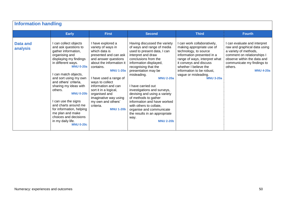| <b>Information handling</b> |                                                                                                                                                                                                                                                                                                                                                                                                                                                         |                                                                                                                                                                                                                                                                                                                                                                      |                                                                                                                                                                                                                                                                                                                                                                                                                                                                                                                     |                                                                                                                                                                                                                                                                            |                                                                                                                                                                                                                 |  |  |  |
|-----------------------------|---------------------------------------------------------------------------------------------------------------------------------------------------------------------------------------------------------------------------------------------------------------------------------------------------------------------------------------------------------------------------------------------------------------------------------------------------------|----------------------------------------------------------------------------------------------------------------------------------------------------------------------------------------------------------------------------------------------------------------------------------------------------------------------------------------------------------------------|---------------------------------------------------------------------------------------------------------------------------------------------------------------------------------------------------------------------------------------------------------------------------------------------------------------------------------------------------------------------------------------------------------------------------------------------------------------------------------------------------------------------|----------------------------------------------------------------------------------------------------------------------------------------------------------------------------------------------------------------------------------------------------------------------------|-----------------------------------------------------------------------------------------------------------------------------------------------------------------------------------------------------------------|--|--|--|
|                             | <b>Early</b>                                                                                                                                                                                                                                                                                                                                                                                                                                            | <b>First</b>                                                                                                                                                                                                                                                                                                                                                         | <b>Second</b>                                                                                                                                                                                                                                                                                                                                                                                                                                                                                                       | <b>Third</b>                                                                                                                                                                                                                                                               | <b>Fourth</b>                                                                                                                                                                                                   |  |  |  |
| <b>Data and</b><br>analysis | can collect objects<br>and ask questions to<br>gather information,<br>organising and<br>displaying my findings<br>in different ways.<br><b>MNU 0-20a</b><br>can match objects,<br>and sort using my own<br>and others' criteria,<br>sharing my ideas with<br>others.<br><b>MNU 0-20b</b><br>can use the signs<br>and charts around me<br>for information, helping<br>me plan and make<br>choices and decisions<br>in my daily life.<br><b>MNU 0-20c</b> | I have explored a<br>variety of ways in<br>which data is<br>presented and can ask<br>and answer questions<br>about the information it<br>contains.<br><b>MNU 1-20a</b><br>I have used a range of<br>ways to collect<br>information and can<br>sort it in a logical,<br>organised and<br>imaginative way using<br>my own and others'<br>criteria.<br><b>MNU 1-20b</b> | Having discussed the variety<br>of ways and range of media<br>used to present data, I can<br>interpret and draw<br>conclusions from the<br>information displayed,<br>recognising that the<br>presentation may be<br>misleading.<br><b>MNU 2-20a</b><br>I have carried out<br>investigations and surveys,<br>devising and using a variety<br>of methods to gather<br>information and have worked<br>with others to collate,<br>organise and communicate<br>the results in an appropriate<br>way.<br><b>MNU 2-20b</b> | can work collaboratively,<br>making appropriate use of<br>technology, to source<br>information presented in a<br>range of ways, interpret what<br>it conveys and discuss<br>whether I believe the<br>information to be robust,<br>vague or misleading.<br><b>MNU 3-20a</b> | I can evaluate and interpret<br>raw and graphical data using<br>a variety of methods,<br>comment on relationships I<br>observe within the data and<br>communicate my findings to<br>others.<br><b>MNU 4-20a</b> |  |  |  |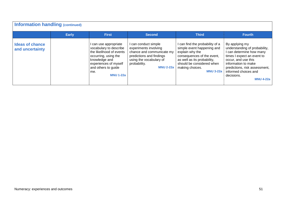| <b>Information handling (continued)</b>   |              |                                                                                                                                                                                               |                                                                                                                                                                       |                                                                                                                                                                                                                 |                                                                                                                                                                                                                                                    |  |  |  |  |  |
|-------------------------------------------|--------------|-----------------------------------------------------------------------------------------------------------------------------------------------------------------------------------------------|-----------------------------------------------------------------------------------------------------------------------------------------------------------------------|-----------------------------------------------------------------------------------------------------------------------------------------------------------------------------------------------------------------|----------------------------------------------------------------------------------------------------------------------------------------------------------------------------------------------------------------------------------------------------|--|--|--|--|--|
|                                           | <b>Early</b> | <b>First</b>                                                                                                                                                                                  | <b>Second</b>                                                                                                                                                         | <b>Third</b>                                                                                                                                                                                                    | <b>Fourth</b>                                                                                                                                                                                                                                      |  |  |  |  |  |
| <b>Ideas of chance</b><br>and uncertainty |              | can use appropriate<br>vocabulary to describe<br>the likelihood of events<br>occurring, using the<br>knowledge and<br>experiences of myself<br>and others to guide<br>me.<br><b>MNU 1-22a</b> | I can conduct simple<br>experiments involving<br>chance and communicate my<br>predictions and findings<br>using the vocabulary of<br>probability.<br><b>MNU 2-22a</b> | can find the probability of a<br>simple event happening and<br>explain why the<br>consequences of the event,<br>as well as its probability,<br>should be considered when<br>making choices.<br><b>MNU 3-22a</b> | By applying my<br>understanding of probability,<br>I can determine how many<br>times I expect an event to<br>occur, and use this<br>information to make<br>predictions, risk assessment,<br>informed choices and<br>decisions.<br><b>MNU 4-22a</b> |  |  |  |  |  |